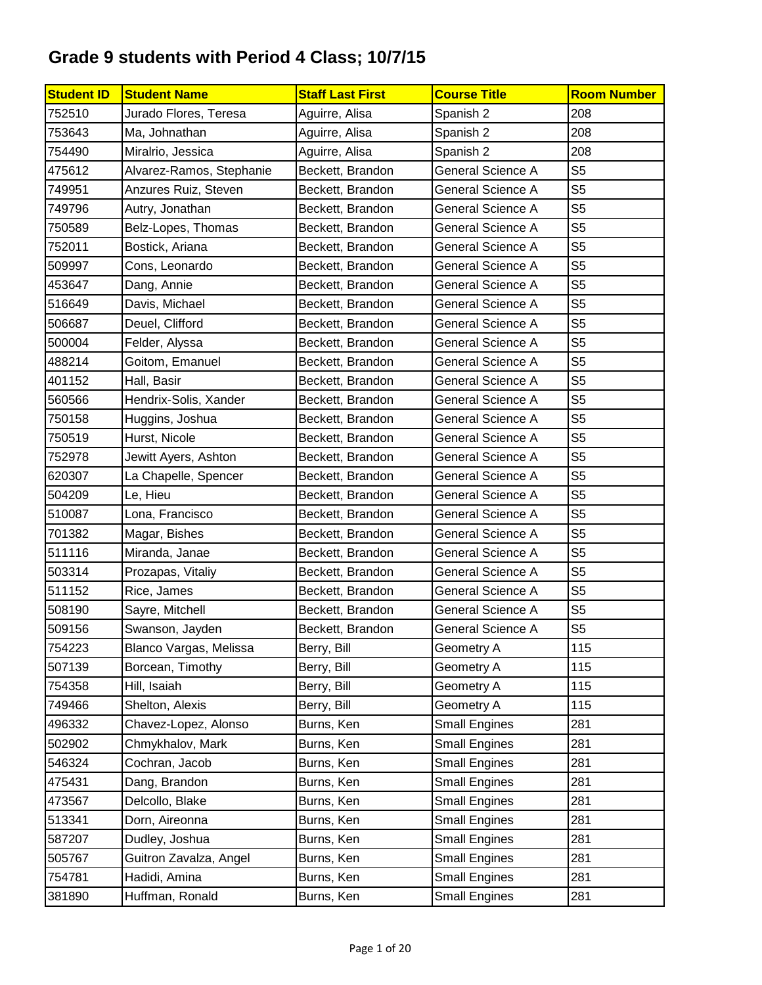| <b>Student ID</b> | <b>Student Name</b>      | <b>Staff Last First</b> | <b>Course Title</b>      | <b>Room Number</b> |
|-------------------|--------------------------|-------------------------|--------------------------|--------------------|
| 752510            | Jurado Flores, Teresa    | Aguirre, Alisa          | Spanish 2                | 208                |
| 753643            | Ma, Johnathan            | Aguirre, Alisa          | Spanish 2                | 208                |
| 754490            | Miralrio, Jessica        | Aguirre, Alisa          | Spanish 2                | 208                |
| 475612            | Alvarez-Ramos, Stephanie | Beckett, Brandon        | <b>General Science A</b> | S <sub>5</sub>     |
| 749951            | Anzures Ruiz, Steven     | Beckett, Brandon        | General Science A        | S <sub>5</sub>     |
| 749796            | Autry, Jonathan          | Beckett, Brandon        | <b>General Science A</b> | S <sub>5</sub>     |
| 750589            | Belz-Lopes, Thomas       | Beckett, Brandon        | <b>General Science A</b> | S <sub>5</sub>     |
| 752011            | Bostick, Ariana          | Beckett, Brandon        | <b>General Science A</b> | S <sub>5</sub>     |
| 509997            | Cons, Leonardo           | Beckett, Brandon        | <b>General Science A</b> | S <sub>5</sub>     |
| 453647            | Dang, Annie              | Beckett, Brandon        | General Science A        | S <sub>5</sub>     |
| 516649            | Davis, Michael           | Beckett, Brandon        | General Science A        | S <sub>5</sub>     |
| 506687            | Deuel, Clifford          | Beckett, Brandon        | General Science A        | S <sub>5</sub>     |
| 500004            | Felder, Alyssa           | Beckett, Brandon        | General Science A        | S <sub>5</sub>     |
| 488214            | Goitom, Emanuel          | Beckett, Brandon        | General Science A        | S <sub>5</sub>     |
| 401152            | Hall, Basir              | Beckett, Brandon        | <b>General Science A</b> | S <sub>5</sub>     |
| 560566            | Hendrix-Solis, Xander    | Beckett, Brandon        | <b>General Science A</b> | S <sub>5</sub>     |
| 750158            | Huggins, Joshua          | Beckett, Brandon        | <b>General Science A</b> | S <sub>5</sub>     |
| 750519            | Hurst, Nicole            | Beckett, Brandon        | General Science A        | S <sub>5</sub>     |
| 752978            | Jewitt Ayers, Ashton     | Beckett, Brandon        | General Science A        | S <sub>5</sub>     |
| 620307            | La Chapelle, Spencer     | Beckett, Brandon        | General Science A        | S <sub>5</sub>     |
| 504209            | Le, Hieu                 | Beckett, Brandon        | General Science A        | S <sub>5</sub>     |
| 510087            | Lona, Francisco          | Beckett, Brandon        | General Science A        | S <sub>5</sub>     |
| 701382            | Magar, Bishes            | Beckett, Brandon        | <b>General Science A</b> | S <sub>5</sub>     |
| 511116            | Miranda, Janae           | Beckett, Brandon        | <b>General Science A</b> | S <sub>5</sub>     |
| 503314            | Prozapas, Vitaliy        | Beckett, Brandon        | <b>General Science A</b> | S <sub>5</sub>     |
| 511152            | Rice, James              | Beckett, Brandon        | General Science A        | S <sub>5</sub>     |
| 508190            | Sayre, Mitchell          | Beckett, Brandon        | General Science A        | S <sub>5</sub>     |
| 509156            | Swanson, Jayden          | Beckett, Brandon        | <b>General Science A</b> | S <sub>5</sub>     |
| 754223            | Blanco Vargas, Melissa   | Berry, Bill             | Geometry A               | 115                |
| 507139            | Borcean, Timothy         | Berry, Bill             | Geometry A               | 115                |
| 754358            | Hill, Isaiah             | Berry, Bill             | Geometry A               | 115                |
| 749466            | Shelton, Alexis          | Berry, Bill             | Geometry A               | 115                |
| 496332            | Chavez-Lopez, Alonso     | Burns, Ken              | <b>Small Engines</b>     | 281                |
| 502902            | Chmykhalov, Mark         | Burns, Ken              | <b>Small Engines</b>     | 281                |
| 546324            | Cochran, Jacob           | Burns, Ken              | <b>Small Engines</b>     | 281                |
| 475431            | Dang, Brandon            | Burns, Ken              | <b>Small Engines</b>     | 281                |
| 473567            | Delcollo, Blake          | Burns, Ken              | <b>Small Engines</b>     | 281                |
| 513341            | Dorn, Aireonna           | Burns, Ken              | <b>Small Engines</b>     | 281                |
| 587207            | Dudley, Joshua           | Burns, Ken              | <b>Small Engines</b>     | 281                |
| 505767            | Guitron Zavalza, Angel   | Burns, Ken              | <b>Small Engines</b>     | 281                |
| 754781            | Hadidi, Amina            | Burns, Ken              | <b>Small Engines</b>     | 281                |
| 381890            | Huffman, Ronald          | Burns, Ken              | <b>Small Engines</b>     | 281                |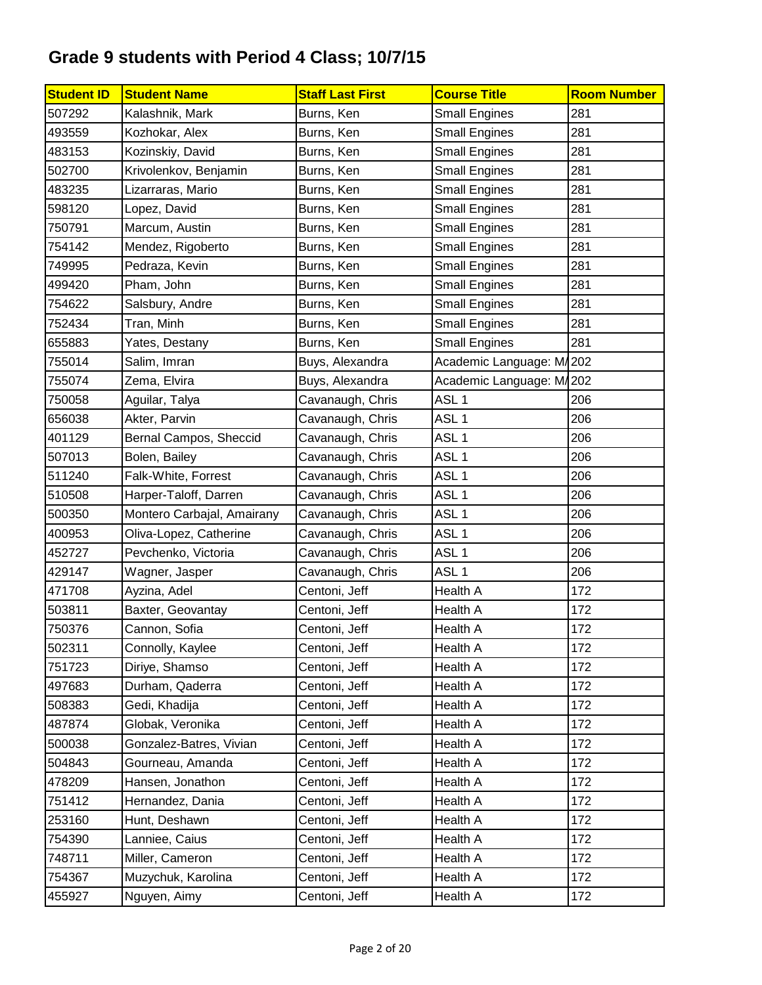| <b>Student ID</b> | <b>Student Name</b>        | <b>Staff Last First</b> | <b>Course Title</b>      | <b>Room Number</b> |
|-------------------|----------------------------|-------------------------|--------------------------|--------------------|
| 507292            | Kalashnik, Mark            | Burns, Ken              | <b>Small Engines</b>     | 281                |
| 493559            | Kozhokar, Alex             | Burns, Ken              | <b>Small Engines</b>     | 281                |
| 483153            | Kozinskiy, David           | Burns, Ken              | <b>Small Engines</b>     | 281                |
| 502700            | Krivolenkov, Benjamin      | Burns, Ken              | <b>Small Engines</b>     | 281                |
| 483235            | Lizarraras, Mario          | Burns, Ken              | <b>Small Engines</b>     | 281                |
| 598120            | Lopez, David               | Burns, Ken              | <b>Small Engines</b>     | 281                |
| 750791            | Marcum, Austin             | Burns, Ken              | <b>Small Engines</b>     | 281                |
| 754142            | Mendez, Rigoberto          | Burns, Ken              | <b>Small Engines</b>     | 281                |
| 749995            | Pedraza, Kevin             | Burns, Ken              | <b>Small Engines</b>     | 281                |
| 499420            | Pham, John                 | Burns, Ken              | <b>Small Engines</b>     | 281                |
| 754622            | Salsbury, Andre            | Burns, Ken              | <b>Small Engines</b>     | 281                |
| 752434            | Tran, Minh                 | Burns, Ken              | <b>Small Engines</b>     | 281                |
| 655883            | Yates, Destany             | Burns, Ken              | <b>Small Engines</b>     | 281                |
| 755014            | Salim, Imran               | Buys, Alexandra         | Academic Language: M/202 |                    |
| 755074            | Zema, Elvira               | Buys, Alexandra         | Academic Language: M/202 |                    |
| 750058            | Aguilar, Talya             | Cavanaugh, Chris        | ASL <sub>1</sub>         | 206                |
| 656038            | Akter, Parvin              | Cavanaugh, Chris        | ASL <sub>1</sub>         | 206                |
| 401129            | Bernal Campos, Sheccid     | Cavanaugh, Chris        | ASL <sub>1</sub>         | 206                |
| 507013            | Bolen, Bailey              | Cavanaugh, Chris        | ASL <sub>1</sub>         | 206                |
| 511240            | Falk-White, Forrest        | Cavanaugh, Chris        | ASL <sub>1</sub>         | 206                |
| 510508            | Harper-Taloff, Darren      | Cavanaugh, Chris        | ASL <sub>1</sub>         | 206                |
| 500350            | Montero Carbajal, Amairany | Cavanaugh, Chris        | ASL <sub>1</sub>         | 206                |
| 400953            | Oliva-Lopez, Catherine     | Cavanaugh, Chris        | ASL <sub>1</sub>         | 206                |
| 452727            | Pevchenko, Victoria        | Cavanaugh, Chris        | ASL <sub>1</sub>         | 206                |
| 429147            | Wagner, Jasper             | Cavanaugh, Chris        | ASL <sub>1</sub>         | 206                |
| 471708            | Ayzina, Adel               | Centoni, Jeff           | Health A                 | 172                |
| 503811            | Baxter, Geovantay          | Centoni, Jeff           | <b>Health A</b>          | 172                |
| 750376            | Cannon, Sofia              | Centoni, Jeff           | <b>Health A</b>          | 172                |
| 502311            | Connolly, Kaylee           | Centoni, Jeff           | Health A                 | 172                |
| 751723            | Diriye, Shamso             | Centoni, Jeff           | Health A                 | 172                |
| 497683            | Durham, Qaderra            | Centoni, Jeff           | Health A                 | 172                |
| 508383            | Gedi, Khadija              | Centoni, Jeff           | Health A                 | 172                |
| 487874            | Globak, Veronika           | Centoni, Jeff           | Health A                 | 172                |
| 500038            | Gonzalez-Batres, Vivian    | Centoni, Jeff           | <b>Health A</b>          | 172                |
| 504843            | Gourneau, Amanda           | Centoni, Jeff           | Health A                 | 172                |
| 478209            | Hansen, Jonathon           | Centoni, Jeff           | <b>Health A</b>          | 172                |
| 751412            | Hernandez, Dania           | Centoni, Jeff           | Health A                 | 172                |
| 253160            | Hunt, Deshawn              | Centoni, Jeff           | Health A                 | 172                |
| 754390            | Lanniee, Caius             | Centoni, Jeff           | Health A                 | 172                |
| 748711            | Miller, Cameron            | Centoni, Jeff           | Health A                 | 172                |
| 754367            | Muzychuk, Karolina         | Centoni, Jeff           | Health A                 | 172                |
| 455927            | Nguyen, Aimy               | Centoni, Jeff           | Health A                 | 172                |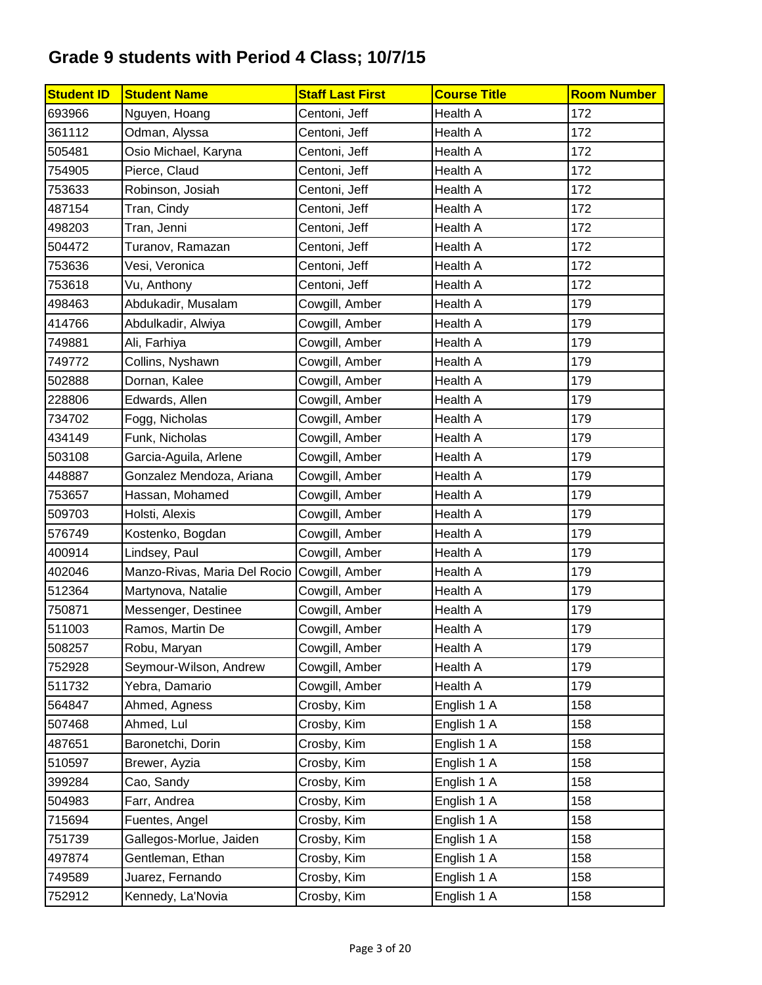| <b>Student ID</b> | <b>Student Name</b>                         | <b>Staff Last First</b> | <b>Course Title</b> | <b>Room Number</b> |
|-------------------|---------------------------------------------|-------------------------|---------------------|--------------------|
| 693966            | Nguyen, Hoang                               | Centoni, Jeff           | <b>Health A</b>     | 172                |
| 361112            | Odman, Alyssa                               | Centoni, Jeff           | <b>Health A</b>     | 172                |
| 505481            | Osio Michael, Karyna                        | Centoni, Jeff           | Health A            | 172                |
| 754905            | Pierce, Claud                               | Centoni, Jeff           | Health A            | 172                |
| 753633            | Robinson, Josiah                            | Centoni, Jeff           | Health A            | 172                |
| 487154            | Tran, Cindy                                 | Centoni, Jeff           | Health A            | 172                |
| 498203            | Tran, Jenni                                 | Centoni, Jeff           | Health A            | 172                |
| 504472            | Turanov, Ramazan                            | Centoni, Jeff           | Health A            | 172                |
| 753636            | Vesi, Veronica                              | Centoni, Jeff           | <b>Health A</b>     | 172                |
| 753618            | Vu, Anthony                                 | Centoni, Jeff           | Health A            | 172                |
| 498463            | Abdukadir, Musalam                          | Cowgill, Amber          | Health A            | 179                |
| 414766            | Abdulkadir, Alwiya                          | Cowgill, Amber          | Health A            | 179                |
| 749881            | Ali, Farhiya                                | Cowgill, Amber          | <b>Health A</b>     | 179                |
| 749772            | Collins, Nyshawn                            | Cowgill, Amber          | Health A            | 179                |
| 502888            | Dornan, Kalee                               | Cowgill, Amber          | Health A            | 179                |
| 228806            | Edwards, Allen                              | Cowgill, Amber          | Health A            | 179                |
| 734702            | Fogg, Nicholas                              | Cowgill, Amber          | <b>Health A</b>     | 179                |
| 434149            | Funk, Nicholas                              | Cowgill, Amber          | Health A            | 179                |
| 503108            | Garcia-Aguila, Arlene                       | Cowgill, Amber          | Health A            | 179                |
| 448887            | Gonzalez Mendoza, Ariana                    | Cowgill, Amber          | <b>Health A</b>     | 179                |
| 753657            | Hassan, Mohamed                             | Cowgill, Amber          | Health A            | 179                |
| 509703            | Holsti, Alexis                              | Cowgill, Amber          | Health A            | 179                |
| 576749            | Kostenko, Bogdan                            | Cowgill, Amber          | Health A            | 179                |
| 400914            | Lindsey, Paul                               | Cowgill, Amber          | Health A            | 179                |
| 402046            | Manzo-Rivas, Maria Del Rocio Cowgill, Amber |                         | Health A            | 179                |
| 512364            | Martynova, Natalie                          | Cowgill, Amber          | Health A            | 179                |
| 750871            | Messenger, Destinee                         | Cowgill, Amber          | <b>Health A</b>     | 179                |
| 511003            | Ramos, Martin De                            | Cowgill, Amber          | Health A            | 179                |
| 508257            | Robu, Maryan                                | Cowgill, Amber          | Health A            | 179                |
| 752928            | Seymour-Wilson, Andrew                      | Cowgill, Amber          | Health A            | 179                |
| 511732            | Yebra, Damario                              | Cowgill, Amber          | Health A            | 179                |
| 564847            | Ahmed, Agness                               | Crosby, Kim             | English 1 A         | 158                |
| 507468            | Ahmed, Lul                                  | Crosby, Kim             | English 1 A         | 158                |
| 487651            | Baronetchi, Dorin                           | Crosby, Kim             | English 1 A         | 158                |
| 510597            | Brewer, Ayzia                               | Crosby, Kim             | English 1 A         | 158                |
| 399284            | Cao, Sandy                                  | Crosby, Kim             | English 1 A         | 158                |
| 504983            | Farr, Andrea                                | Crosby, Kim             | English 1 A         | 158                |
| 715694            | Fuentes, Angel                              | Crosby, Kim             | English 1 A         | 158                |
| 751739            | Gallegos-Morlue, Jaiden                     | Crosby, Kim             | English 1 A         | 158                |
| 497874            | Gentleman, Ethan                            | Crosby, Kim             | English 1 A         | 158                |
| 749589            | Juarez, Fernando                            | Crosby, Kim             | English 1 A         | 158                |
| 752912            | Kennedy, La'Novia                           | Crosby, Kim             | English 1 A         | 158                |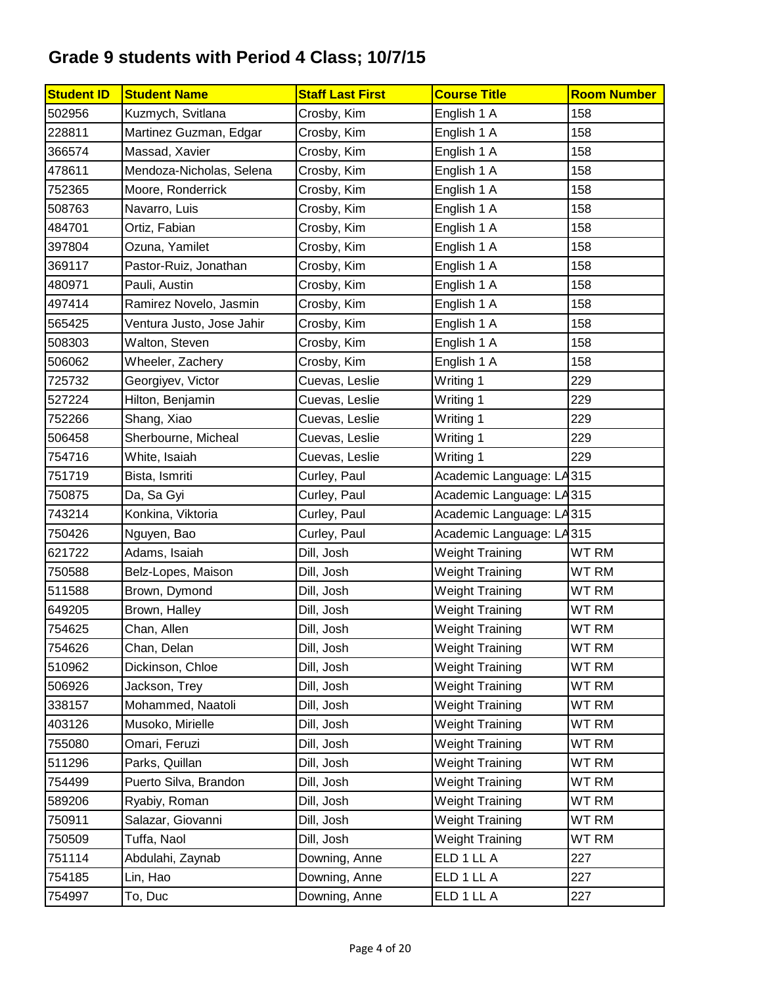| <b>Student ID</b> | <b>Student Name</b>       | <b>Staff Last First</b> | <b>Course Title</b>      | <b>Room Number</b> |
|-------------------|---------------------------|-------------------------|--------------------------|--------------------|
| 502956            | Kuzmych, Svitlana         | Crosby, Kim             | English 1 A              | 158                |
| 228811            | Martinez Guzman, Edgar    | Crosby, Kim             | English 1 A              | 158                |
| 366574            | Massad, Xavier            | Crosby, Kim             | English 1 A              | 158                |
| 478611            | Mendoza-Nicholas, Selena  | Crosby, Kim             | English 1 A              | 158                |
| 752365            | Moore, Ronderrick         | Crosby, Kim             | English 1 A              | 158                |
| 508763            | Navarro, Luis             | Crosby, Kim             | English 1 A              | 158                |
| 484701            | Ortiz, Fabian             | Crosby, Kim             | English 1 A              | 158                |
| 397804            | Ozuna, Yamilet            | Crosby, Kim             | English 1 A              | 158                |
| 369117            | Pastor-Ruiz, Jonathan     | Crosby, Kim             | English 1 A              | 158                |
| 480971            | Pauli, Austin             | Crosby, Kim             | English 1 A              | 158                |
| 497414            | Ramirez Novelo, Jasmin    | Crosby, Kim             | English 1 A              | 158                |
| 565425            | Ventura Justo, Jose Jahir | Crosby, Kim             | English 1 A              | 158                |
| 508303            | Walton, Steven            | Crosby, Kim             | English 1 A              | 158                |
| 506062            | Wheeler, Zachery          | Crosby, Kim             | English 1 A              | 158                |
| 725732            | Georgiyev, Victor         | Cuevas, Leslie          | Writing 1                | 229                |
| 527224            | Hilton, Benjamin          | Cuevas, Leslie          | Writing 1                | 229                |
| 752266            | Shang, Xiao               | Cuevas, Leslie          | Writing 1                | 229                |
| 506458            | Sherbourne, Micheal       | Cuevas, Leslie          | Writing 1                | 229                |
| 754716            | White, Isaiah             | Cuevas, Leslie          | Writing 1                | 229                |
| 751719            | Bista, Ismriti            | Curley, Paul            | Academic Language: LA315 |                    |
| 750875            | Da, Sa Gyi                | Curley, Paul            | Academic Language: LA315 |                    |
| 743214            | Konkina, Viktoria         | Curley, Paul            | Academic Language: LA315 |                    |
| 750426            | Nguyen, Bao               | Curley, Paul            | Academic Language: LA315 |                    |
| 621722            | Adams, Isaiah             | Dill, Josh              | <b>Weight Training</b>   | WT RM              |
| 750588            | Belz-Lopes, Maison        | Dill, Josh              | <b>Weight Training</b>   | <b>WT RM</b>       |
| 511588            | Brown, Dymond             | Dill, Josh              | <b>Weight Training</b>   | WT RM              |
| 649205            | Brown, Halley             | Dill, Josh              | <b>Weight Training</b>   | WT RM              |
| 754625            | Chan, Allen               | Dill, Josh              | <b>Weight Training</b>   | <b>WT RM</b>       |
| 754626            | Chan, Delan               | Dill, Josh              | <b>Weight Training</b>   | WT RM              |
| 510962            | Dickinson, Chloe          | Dill, Josh              | <b>Weight Training</b>   | WT RM              |
| 506926            | Jackson, Trey             | Dill, Josh              | <b>Weight Training</b>   | WT RM              |
| 338157            | Mohammed, Naatoli         | Dill, Josh              | <b>Weight Training</b>   | WT RM              |
| 403126            | Musoko, Mirielle          | Dill, Josh              | <b>Weight Training</b>   | WT RM              |
| 755080            | Omari, Feruzi             | Dill, Josh              | <b>Weight Training</b>   | WT RM              |
| 511296            | Parks, Quillan            | Dill, Josh              | <b>Weight Training</b>   | WT RM              |
| 754499            | Puerto Silva, Brandon     | Dill, Josh              | <b>Weight Training</b>   | WT RM              |
| 589206            | Ryabiy, Roman             | Dill, Josh              | <b>Weight Training</b>   | WT RM              |
| 750911            | Salazar, Giovanni         | Dill, Josh              | <b>Weight Training</b>   | WT RM              |
| 750509            | Tuffa, Naol               | Dill, Josh              | <b>Weight Training</b>   | WT RM              |
| 751114            | Abdulahi, Zaynab          | Downing, Anne           | ELD 1 LL A               | 227                |
| 754185            | Lin, Hao                  | Downing, Anne           | ELD 1 LL A               | 227                |
| 754997            | To, Duc                   | Downing, Anne           | ELD 1 LL A               | 227                |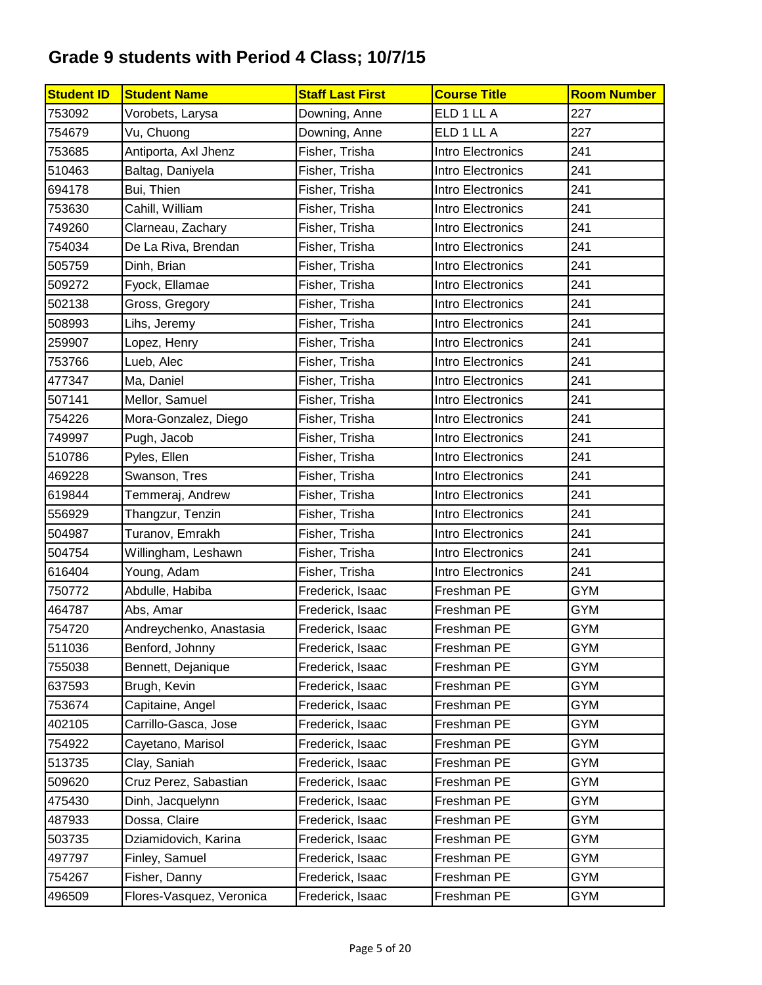| <b>Student ID</b> | <b>Student Name</b>      | <b>Staff Last First</b> | <b>Course Title</b> | <b>Room Number</b> |
|-------------------|--------------------------|-------------------------|---------------------|--------------------|
| 753092            | Vorobets, Larysa         | Downing, Anne           | ELD 1 LL A          | 227                |
| 754679            | Vu, Chuong               | Downing, Anne           | ELD 1 LL A          | 227                |
| 753685            | Antiporta, Axl Jhenz     | Fisher, Trisha          | Intro Electronics   | 241                |
| 510463            | Baltag, Daniyela         | Fisher, Trisha          | Intro Electronics   | 241                |
| 694178            | Bui, Thien               | Fisher, Trisha          | Intro Electronics   | 241                |
| 753630            | Cahill, William          | Fisher, Trisha          | Intro Electronics   | 241                |
| 749260            | Clarneau, Zachary        | Fisher, Trisha          | Intro Electronics   | 241                |
| 754034            | De La Riva, Brendan      | Fisher, Trisha          | Intro Electronics   | 241                |
| 505759            | Dinh, Brian              | Fisher, Trisha          | Intro Electronics   | 241                |
| 509272            | Fyock, Ellamae           | Fisher, Trisha          | Intro Electronics   | 241                |
| 502138            | Gross, Gregory           | Fisher, Trisha          | Intro Electronics   | 241                |
| 508993            | Lihs, Jeremy             | Fisher, Trisha          | Intro Electronics   | 241                |
| 259907            | Lopez, Henry             | Fisher, Trisha          | Intro Electronics   | 241                |
| 753766            | Lueb, Alec               | Fisher, Trisha          | Intro Electronics   | 241                |
| 477347            | Ma, Daniel               | Fisher, Trisha          | Intro Electronics   | 241                |
| 507141            | Mellor, Samuel           | Fisher, Trisha          | Intro Electronics   | 241                |
| 754226            | Mora-Gonzalez, Diego     | Fisher, Trisha          | Intro Electronics   | 241                |
| 749997            | Pugh, Jacob              | Fisher, Trisha          | Intro Electronics   | 241                |
| 510786            | Pyles, Ellen             | Fisher, Trisha          | Intro Electronics   | 241                |
| 469228            | Swanson, Tres            | Fisher, Trisha          | Intro Electronics   | 241                |
| 619844            | Temmeraj, Andrew         | Fisher, Trisha          | Intro Electronics   | 241                |
| 556929            | Thangzur, Tenzin         | Fisher, Trisha          | Intro Electronics   | 241                |
| 504987            | Turanov, Emrakh          | Fisher, Trisha          | Intro Electronics   | 241                |
| 504754            | Willingham, Leshawn      | Fisher, Trisha          | Intro Electronics   | 241                |
| 616404            | Young, Adam              | Fisher, Trisha          | Intro Electronics   | 241                |
| 750772            | Abdulle, Habiba          | Frederick, Isaac        | Freshman PE         | <b>GYM</b>         |
| 464787            | Abs, Amar                | Frederick, Isaac        | Freshman PE         | <b>GYM</b>         |
| 754720            | Andreychenko, Anastasia  | Frederick, Isaac        | Freshman PE         | <b>GYM</b>         |
| 511036            | Benford, Johnny          | Frederick, Isaac        | Freshman PE         | <b>GYM</b>         |
| 755038            | Bennett, Dejanique       | Frederick, Isaac        | Freshman PE         | GYM                |
| 637593            | Brugh, Kevin             | Frederick, Isaac        | Freshman PE         | <b>GYM</b>         |
| 753674            | Capitaine, Angel         | Frederick, Isaac        | Freshman PE         | <b>GYM</b>         |
| 402105            | Carrillo-Gasca, Jose     | Frederick, Isaac        | Freshman PE         | <b>GYM</b>         |
| 754922            | Cayetano, Marisol        | Frederick, Isaac        | Freshman PE         | <b>GYM</b>         |
| 513735            | Clay, Saniah             | Frederick, Isaac        | Freshman PE         | <b>GYM</b>         |
| 509620            | Cruz Perez, Sabastian    | Frederick, Isaac        | Freshman PE         | <b>GYM</b>         |
| 475430            | Dinh, Jacquelynn         | Frederick, Isaac        | Freshman PE         | <b>GYM</b>         |
| 487933            | Dossa, Claire            | Frederick, Isaac        | Freshman PE         | <b>GYM</b>         |
| 503735            | Dziamidovich, Karina     | Frederick, Isaac        | Freshman PE         | <b>GYM</b>         |
| 497797            | Finley, Samuel           | Frederick, Isaac        | Freshman PE         | <b>GYM</b>         |
| 754267            | Fisher, Danny            | Frederick, Isaac        | Freshman PE         | GYM                |
| 496509            | Flores-Vasquez, Veronica | Frederick, Isaac        | Freshman PE         | GYM                |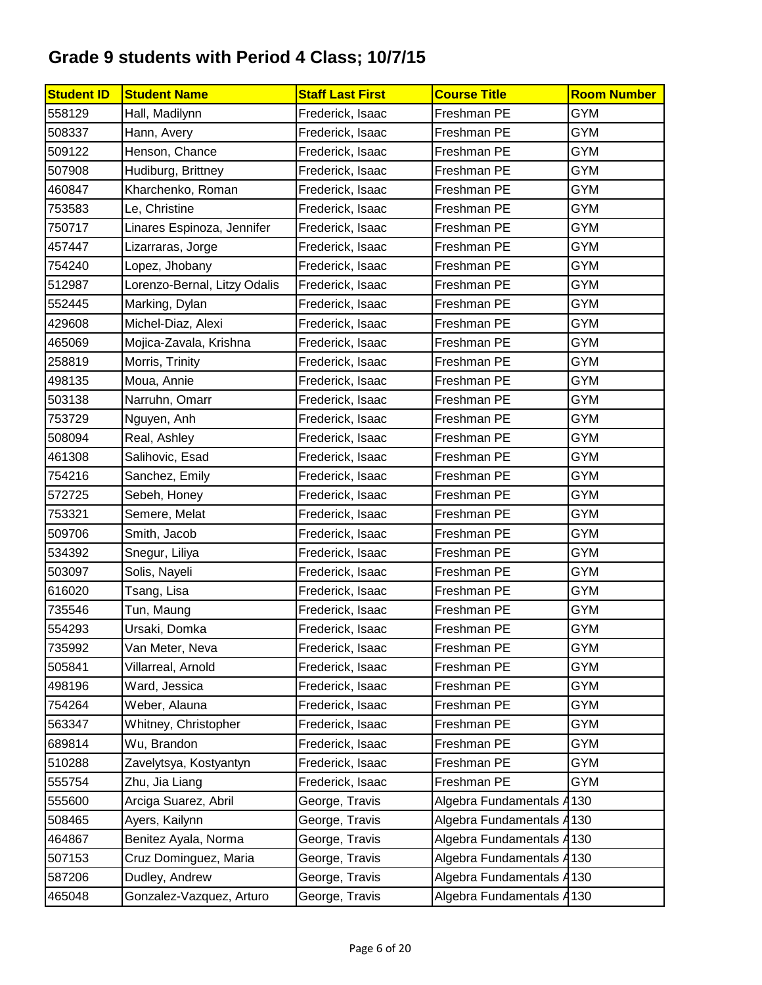| <b>Student ID</b> | <b>Student Name</b>          | <b>Staff Last First</b> | <b>Course Title</b>       | <b>Room Number</b> |
|-------------------|------------------------------|-------------------------|---------------------------|--------------------|
| 558129            | Hall, Madilynn               | Frederick, Isaac        | Freshman PE               | <b>GYM</b>         |
| 508337            | Hann, Avery                  | Frederick, Isaac        | Freshman PE               | <b>GYM</b>         |
| 509122            | Henson, Chance               | Frederick, Isaac        | Freshman PE               | <b>GYM</b>         |
| 507908            | Hudiburg, Brittney           | Frederick, Isaac        | Freshman PE               | <b>GYM</b>         |
| 460847            | Kharchenko, Roman            | Frederick, Isaac        | Freshman PE               | <b>GYM</b>         |
| 753583            | Le, Christine                | Frederick, Isaac        | Freshman PE               | <b>GYM</b>         |
| 750717            | Linares Espinoza, Jennifer   | Frederick, Isaac        | Freshman PE               | <b>GYM</b>         |
| 457447            | Lizarraras, Jorge            | Frederick, Isaac        | Freshman PE               | <b>GYM</b>         |
| 754240            | Lopez, Jhobany               | Frederick, Isaac        | Freshman PE               | <b>GYM</b>         |
| 512987            | Lorenzo-Bernal, Litzy Odalis | Frederick, Isaac        | Freshman PE               | <b>GYM</b>         |
| 552445            | Marking, Dylan               | Frederick, Isaac        | Freshman PE               | <b>GYM</b>         |
| 429608            | Michel-Diaz, Alexi           | Frederick, Isaac        | Freshman PE               | <b>GYM</b>         |
| 465069            | Mojica-Zavala, Krishna       | Frederick, Isaac        | Freshman PE               | <b>GYM</b>         |
| 258819            | Morris, Trinity              | Frederick, Isaac        | Freshman PE               | <b>GYM</b>         |
| 498135            | Moua, Annie                  | Frederick, Isaac        | Freshman PE               | <b>GYM</b>         |
| 503138            | Narruhn, Omarr               | Frederick, Isaac        | Freshman PE               | <b>GYM</b>         |
| 753729            | Nguyen, Anh                  | Frederick, Isaac        | Freshman PE               | <b>GYM</b>         |
| 508094            | Real, Ashley                 | Frederick, Isaac        | Freshman PE               | <b>GYM</b>         |
| 461308            | Salihovic, Esad              | Frederick, Isaac        | Freshman PE               | <b>GYM</b>         |
| 754216            | Sanchez, Emily               | Frederick, Isaac        | Freshman PE               | <b>GYM</b>         |
| 572725            | Sebeh, Honey                 | Frederick, Isaac        | Freshman PE               | <b>GYM</b>         |
| 753321            | Semere, Melat                | Frederick, Isaac        | Freshman PE               | <b>GYM</b>         |
| 509706            | Smith, Jacob                 | Frederick, Isaac        | Freshman PE               | <b>GYM</b>         |
| 534392            | Snegur, Liliya               | Frederick, Isaac        | Freshman PE               | <b>GYM</b>         |
| 503097            | Solis, Nayeli                | Frederick, Isaac        | Freshman PE               | <b>GYM</b>         |
| 616020            | Tsang, Lisa                  | Frederick, Isaac        | Freshman PE               | <b>GYM</b>         |
| 735546            | Tun, Maung                   | Frederick, Isaac        | Freshman PE               | <b>GYM</b>         |
| 554293            | Ursaki, Domka                | Frederick, Isaac        | Freshman PE               | <b>GYM</b>         |
| 735992            | Van Meter, Neva              | Frederick, Isaac        | Freshman PE               | <b>GYM</b>         |
| 505841            | Villarreal, Arnold           | Frederick, Isaac        | Freshman PE               | GYM                |
| 498196            | Ward, Jessica                | Frederick, Isaac        | Freshman PE               | GYM                |
| 754264            | Weber, Alauna                | Frederick, Isaac        | Freshman PE               | <b>GYM</b>         |
| 563347            | Whitney, Christopher         | Frederick, Isaac        | Freshman PE               | GYM                |
| 689814            | Wu, Brandon                  | Frederick, Isaac        | Freshman PE               | <b>GYM</b>         |
| 510288            | Zavelytsya, Kostyantyn       | Frederick, Isaac        | Freshman PE               | <b>GYM</b>         |
| 555754            | Zhu, Jia Liang               | Frederick, Isaac        | Freshman PE               | <b>GYM</b>         |
| 555600            | Arciga Suarez, Abril         | George, Travis          | Algebra Fundamentals A    | 130                |
| 508465            | Ayers, Kailynn               | George, Travis          | Algebra Fundamentals A130 |                    |
| 464867            | Benitez Ayala, Norma         | George, Travis          | Algebra Fundamentals A    | 130                |
| 507153            | Cruz Dominguez, Maria        | George, Travis          | Algebra Fundamentals A130 |                    |
| 587206            | Dudley, Andrew               | George, Travis          | Algebra Fundamentals A130 |                    |
| 465048            | Gonzalez-Vazquez, Arturo     | George, Travis          | Algebra Fundamentals A130 |                    |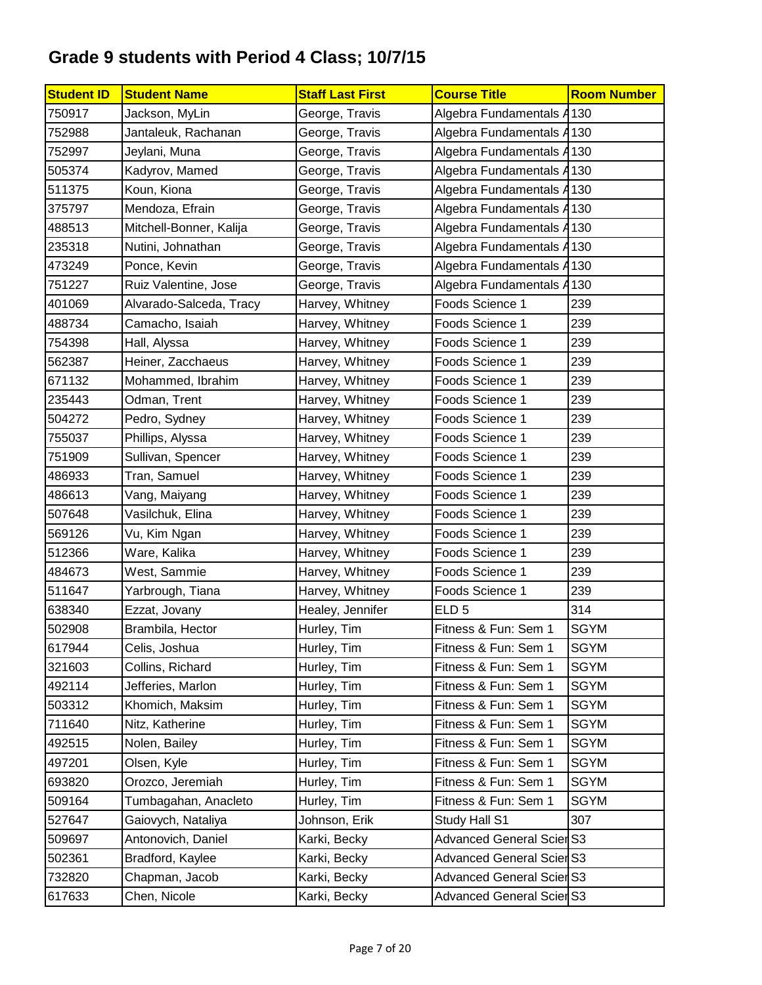| <b>Student ID</b> | <b>Student Name</b>     | <b>Staff Last First</b> | <b>Course Title</b>              | <b>Room Number</b> |
|-------------------|-------------------------|-------------------------|----------------------------------|--------------------|
| 750917            | Jackson, MyLin          | George, Travis          | Algebra Fundamentals A130        |                    |
| 752988            | Jantaleuk, Rachanan     | George, Travis          | Algebra Fundamentals A130        |                    |
| 752997            | Jeylani, Muna           | George, Travis          | Algebra Fundamentals A           | 130                |
| 505374            | Kadyrov, Mamed          | George, Travis          | Algebra Fundamentals A           | 130                |
| 511375            | Koun, Kiona             | George, Travis          | Algebra Fundamentals A           | 130                |
| 375797            | Mendoza, Efrain         | George, Travis          | Algebra Fundamentals A130        |                    |
| 488513            | Mitchell-Bonner, Kalija | George, Travis          | Algebra Fundamentals A           | 130                |
| 235318            | Nutini, Johnathan       | George, Travis          | Algebra Fundamentals A           | 130                |
| 473249            | Ponce, Kevin            | George, Travis          | Algebra Fundamentals A           | 130                |
| 751227            | Ruiz Valentine, Jose    | George, Travis          | Algebra Fundamentals A           | 130                |
| 401069            | Alvarado-Salceda, Tracy | Harvey, Whitney         | Foods Science 1                  | 239                |
| 488734            | Camacho, Isaiah         | Harvey, Whitney         | Foods Science 1                  | 239                |
| 754398            | Hall, Alyssa            | Harvey, Whitney         | Foods Science 1                  | 239                |
| 562387            | Heiner, Zacchaeus       | Harvey, Whitney         | Foods Science 1                  | 239                |
| 671132            | Mohammed, Ibrahim       | Harvey, Whitney         | Foods Science 1                  | 239                |
| 235443            | Odman, Trent            | Harvey, Whitney         | Foods Science 1                  | 239                |
| 504272            | Pedro, Sydney           | Harvey, Whitney         | Foods Science 1                  | 239                |
| 755037            | Phillips, Alyssa        | Harvey, Whitney         | Foods Science 1                  | 239                |
| 751909            | Sullivan, Spencer       | Harvey, Whitney         | Foods Science 1                  | 239                |
| 486933            | Tran, Samuel            | Harvey, Whitney         | Foods Science 1                  | 239                |
| 486613            | Vang, Maiyang           | Harvey, Whitney         | Foods Science 1                  | 239                |
| 507648            | Vasilchuk, Elina        | Harvey, Whitney         | Foods Science 1                  | 239                |
| 569126            | Vu, Kim Ngan            | Harvey, Whitney         | Foods Science 1                  | 239                |
| 512366            | Ware, Kalika            | Harvey, Whitney         | Foods Science 1                  | 239                |
| 484673            | West, Sammie            | Harvey, Whitney         | Foods Science 1                  | 239                |
| 511647            | Yarbrough, Tiana        | Harvey, Whitney         | Foods Science 1                  | 239                |
| 638340            | Ezzat, Jovany           | Healey, Jennifer        | ELD <sub>5</sub>                 | 314                |
| 502908            | Brambila, Hector        | Hurley, Tim             | Fitness & Fun: Sem 1             | <b>SGYM</b>        |
| 617944            | Celis, Joshua           | Hurley, Tim             | Fitness & Fun: Sem 1             | <b>SGYM</b>        |
| 321603            | Collins, Richard        | Hurley, Tim             | Fitness & Fun: Sem 1             | <b>SGYM</b>        |
| 492114            | Jefferies, Marlon       | Hurley, Tim             | Fitness & Fun: Sem 1             | <b>SGYM</b>        |
| 503312            | Khomich, Maksim         | Hurley, Tim             | Fitness & Fun: Sem 1             | <b>SGYM</b>        |
| 711640            | Nitz, Katherine         | Hurley, Tim             | Fitness & Fun: Sem 1             | <b>SGYM</b>        |
| 492515            | Nolen, Bailey           | Hurley, Tim             | Fitness & Fun: Sem 1             | <b>SGYM</b>        |
| 497201            | Olsen, Kyle             | Hurley, Tim             | Fitness & Fun: Sem 1             | <b>SGYM</b>        |
| 693820            | Orozco, Jeremiah        | Hurley, Tim             | Fitness & Fun: Sem 1             | <b>SGYM</b>        |
| 509164            | Tumbagahan, Anacleto    | Hurley, Tim             | Fitness & Fun: Sem 1             | <b>SGYM</b>        |
| 527647            | Gaiovych, Nataliya      | Johnson, Erik           | Study Hall S1                    | 307                |
| 509697            | Antonovich, Daniel      | Karki, Becky            | <b>Advanced General Scier S3</b> |                    |
| 502361            | Bradford, Kaylee        | Karki, Becky            | <b>Advanced General Scier S3</b> |                    |
| 732820            | Chapman, Jacob          | Karki, Becky            | <b>Advanced General Scier S3</b> |                    |
| 617633            | Chen, Nicole            | Karki, Becky            | <b>Advanced General Scier S3</b> |                    |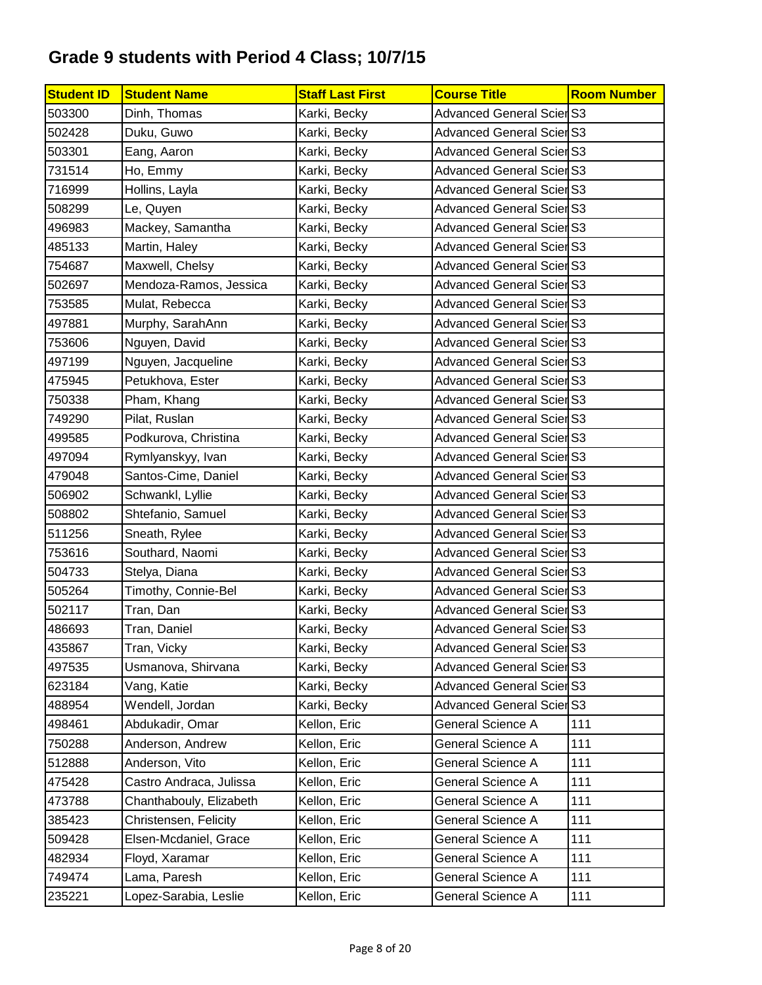| <b>Student ID</b> | <b>Student Name</b>     | <b>Staff Last First</b> | <b>Course Title</b>              | <b>Room Number</b> |
|-------------------|-------------------------|-------------------------|----------------------------------|--------------------|
| 503300            | Dinh, Thomas            | Karki, Becky            | <b>Advanced General Scier S3</b> |                    |
| 502428            | Duku, Guwo              | Karki, Becky            | <b>Advanced General Scier S3</b> |                    |
| 503301            | Eang, Aaron             | Karki, Becky            | <b>Advanced General Scier S3</b> |                    |
| 731514            | Ho, Emmy                | Karki, Becky            | <b>Advanced General Scier S3</b> |                    |
| 716999            | Hollins, Layla          | Karki, Becky            | <b>Advanced General Scier S3</b> |                    |
| 508299            | Le, Quyen               | Karki, Becky            | <b>Advanced General Scier S3</b> |                    |
| 496983            | Mackey, Samantha        | Karki, Becky            | <b>Advanced General Scier S3</b> |                    |
| 485133            | Martin, Haley           | Karki, Becky            | <b>Advanced General Scier S3</b> |                    |
| 754687            | Maxwell, Chelsy         | Karki, Becky            | <b>Advanced General Scier S3</b> |                    |
| 502697            | Mendoza-Ramos, Jessica  | Karki, Becky            | <b>Advanced General Scier S3</b> |                    |
| 753585            | Mulat, Rebecca          | Karki, Becky            | <b>Advanced General ScierS3</b>  |                    |
| 497881            | Murphy, SarahAnn        | Karki, Becky            | <b>Advanced General Scier S3</b> |                    |
| 753606            | Nguyen, David           | Karki, Becky            | <b>Advanced General Scier S3</b> |                    |
| 497199            | Nguyen, Jacqueline      | Karki, Becky            | <b>Advanced General Scier S3</b> |                    |
| 475945            | Petukhova, Ester        | Karki, Becky            | <b>Advanced General Scier S3</b> |                    |
| 750338            | Pham, Khang             | Karki, Becky            | <b>Advanced General Scier S3</b> |                    |
| 749290            | Pilat, Ruslan           | Karki, Becky            | <b>Advanced General Scier S3</b> |                    |
| 499585            | Podkurova, Christina    | Karki, Becky            | <b>Advanced General Scier S3</b> |                    |
| 497094            | Rymlyanskyy, Ivan       | Karki, Becky            | <b>Advanced General Scier S3</b> |                    |
| 479048            | Santos-Cime, Daniel     | Karki, Becky            | <b>Advanced General Scier S3</b> |                    |
| 506902            | Schwankl, Lyllie        | Karki, Becky            | <b>Advanced General Scier S3</b> |                    |
| 508802            | Shtefanio, Samuel       | Karki, Becky            | <b>Advanced General Scier S3</b> |                    |
| 511256            | Sneath, Rylee           | Karki, Becky            | <b>Advanced General Scier S3</b> |                    |
| 753616            | Southard, Naomi         | Karki, Becky            | <b>Advanced General Scier S3</b> |                    |
| 504733            | Stelya, Diana           | Karki, Becky            | <b>Advanced General Scier S3</b> |                    |
| 505264            | Timothy, Connie-Bel     | Karki, Becky            | <b>Advanced General Scier S3</b> |                    |
| 502117            | Tran, Dan               | Karki, Becky            | <b>Advanced General Scier S3</b> |                    |
| 486693            | Tran, Daniel            | Karki, Becky            | <b>Advanced General Scier S3</b> |                    |
| 435867            | Tran, Vicky             | Karki, Becky            | <b>Advanced General Scier S3</b> |                    |
| 497535            | Usmanova, Shirvana      | Karki, Becky            | <b>Advanced General Scier S3</b> |                    |
| 623184            | Vang, Katie             | Karki, Becky            | <b>Advanced General Scier S3</b> |                    |
| 488954            | Wendell, Jordan         | Karki, Becky            | <b>Advanced General Scier S3</b> |                    |
| 498461            | Abdukadir, Omar         | Kellon, Eric            | General Science A                | 111                |
| 750288            | Anderson, Andrew        | Kellon, Eric            | General Science A                | 111                |
| 512888            | Anderson, Vito          | Kellon, Eric            | General Science A                | 111                |
| 475428            | Castro Andraca, Julissa | Kellon, Eric            | General Science A                | 111                |
| 473788            | Chanthabouly, Elizabeth | Kellon, Eric            | General Science A                | 111                |
| 385423            | Christensen, Felicity   | Kellon, Eric            | General Science A                | 111                |
| 509428            | Elsen-Mcdaniel, Grace   | Kellon, Eric            | General Science A                | 111                |
| 482934            | Floyd, Xaramar          | Kellon, Eric            | General Science A                | 111                |
| 749474            | Lama, Paresh            | Kellon, Eric            | General Science A                | 111                |
| 235221            | Lopez-Sarabia, Leslie   | Kellon, Eric            | General Science A                | 111                |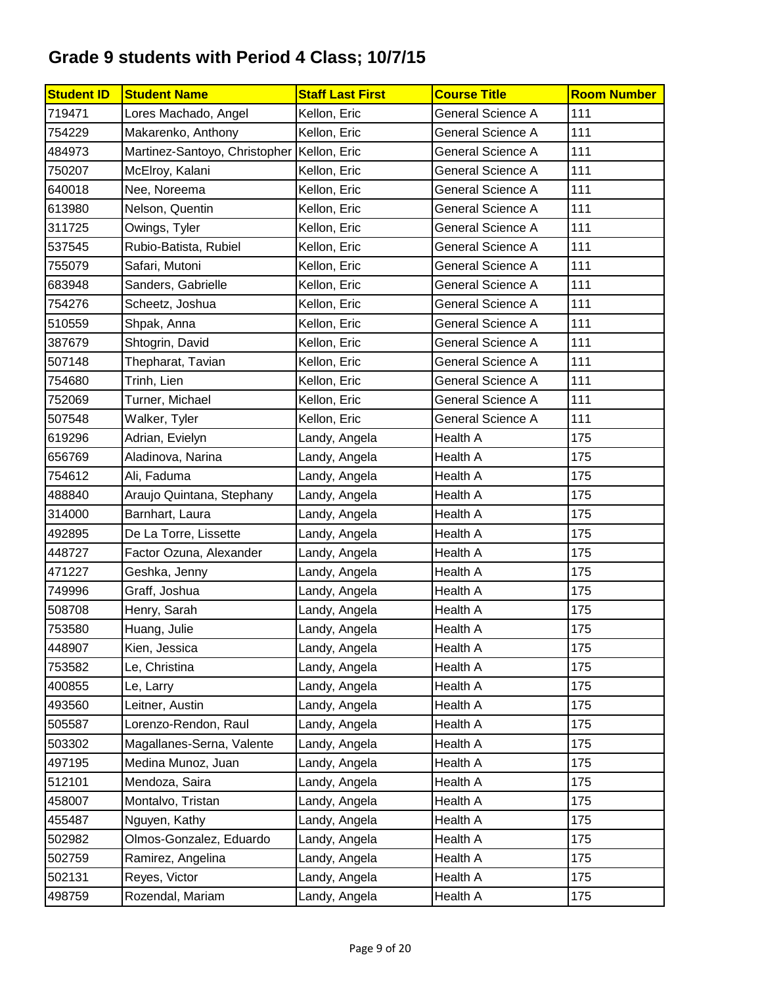| <b>Student ID</b> | <b>Student Name</b>           | <b>Staff Last First</b> | <b>Course Title</b>      | <b>Room Number</b> |
|-------------------|-------------------------------|-------------------------|--------------------------|--------------------|
| 719471            | Lores Machado, Angel          | Kellon, Eric            | General Science A        | 111                |
| 754229            | Makarenko, Anthony            | Kellon, Eric            | General Science A        | 111                |
| 484973            | Martinez-Santoyo, Christopher | Kellon, Eric            | General Science A        | 111                |
| 750207            | McElroy, Kalani               | Kellon, Eric            | General Science A        | 111                |
| 640018            | Nee, Noreema                  | Kellon, Eric            | <b>General Science A</b> | 111                |
| 613980            | Nelson, Quentin               | Kellon, Eric            | <b>General Science A</b> | 111                |
| 311725            | Owings, Tyler                 | Kellon, Eric            | General Science A        | 111                |
| 537545            | Rubio-Batista, Rubiel         | Kellon, Eric            | General Science A        | 111                |
| 755079            | Safari, Mutoni                | Kellon, Eric            | General Science A        | 111                |
| 683948            | Sanders, Gabrielle            | Kellon, Eric            | <b>General Science A</b> | 111                |
| 754276            | Scheetz, Joshua               | Kellon, Eric            | General Science A        | 111                |
| 510559            | Shpak, Anna                   | Kellon, Eric            | <b>General Science A</b> | 111                |
| 387679            | Shtogrin, David               | Kellon, Eric            | General Science A        | 111                |
| 507148            | Thepharat, Tavian             | Kellon, Eric            | General Science A        | 111                |
| 754680            | Trinh, Lien                   | Kellon, Eric            | General Science A        | 111                |
| 752069            | Turner, Michael               | Kellon, Eric            | General Science A        | 111                |
| 507548            | Walker, Tyler                 | Kellon, Eric            | General Science A        | 111                |
| 619296            | Adrian, Evielyn               | Landy, Angela           | Health A                 | 175                |
| 656769            | Aladinova, Narina             | Landy, Angela           | Health A                 | 175                |
| 754612            | Ali, Faduma                   | Landy, Angela           | Health A                 | 175                |
| 488840            | Araujo Quintana, Stephany     | Landy, Angela           | Health A                 | 175                |
| 314000            | Barnhart, Laura               | Landy, Angela           | Health A                 | 175                |
| 492895            | De La Torre, Lissette         | Landy, Angela           | Health A                 | 175                |
| 448727            | Factor Ozuna, Alexander       | Landy, Angela           | Health A                 | 175                |
| 471227            | Geshka, Jenny                 | Landy, Angela           | Health A                 | 175                |
| 749996            | Graff, Joshua                 | Landy, Angela           | Health A                 | 175                |
| 508708            | Henry, Sarah                  | Landy, Angela           | <b>Health A</b>          | 175                |
| 753580            | Huang, Julie                  | Landy, Angela           | Health A                 | 175                |
| 448907            | Kien, Jessica                 | Landy, Angela           | Health A                 | 175                |
| 753582            | Le, Christina                 | Landy, Angela           | Health A                 | 175                |
| 400855            | Le, Larry                     | Landy, Angela           | Health A                 | 175                |
| 493560            | Leitner, Austin               | Landy, Angela           | Health A                 | 175                |
| 505587            | Lorenzo-Rendon, Raul          | Landy, Angela           | Health A                 | 175                |
| 503302            | Magallanes-Serna, Valente     | Landy, Angela           | Health A                 | 175                |
| 497195            | Medina Munoz, Juan            | Landy, Angela           | Health A                 | 175                |
| 512101            | Mendoza, Saira                | Landy, Angela           | Health A                 | 175                |
| 458007            | Montalvo, Tristan             | Landy, Angela           | Health A                 | 175                |
| 455487            | Nguyen, Kathy                 | Landy, Angela           | Health A                 | 175                |
| 502982            | Olmos-Gonzalez, Eduardo       | Landy, Angela           | Health A                 | 175                |
| 502759            | Ramirez, Angelina             | Landy, Angela           | Health A                 | 175                |
| 502131            | Reyes, Victor                 | Landy, Angela           | Health A                 | 175                |
| 498759            | Rozendal, Mariam              | Landy, Angela           | Health A                 | 175                |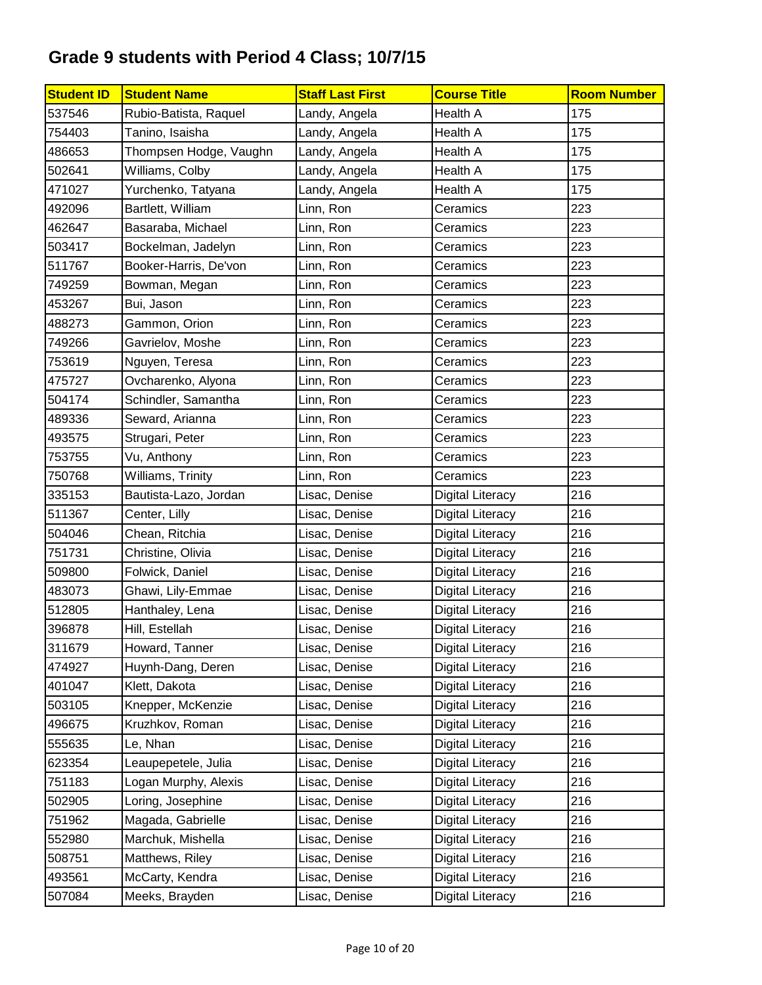| <b>Student ID</b> | <b>Student Name</b>    | <b>Staff Last First</b> | <b>Course Title</b>     | <b>Room Number</b> |
|-------------------|------------------------|-------------------------|-------------------------|--------------------|
| 537546            | Rubio-Batista, Raquel  | Landy, Angela           | Health A                | 175                |
| 754403            | Tanino, Isaisha        | Landy, Angela           | <b>Health A</b>         | 175                |
| 486653            | Thompsen Hodge, Vaughn | Landy, Angela           | Health A                | 175                |
| 502641            | Williams, Colby        | Landy, Angela           | Health A                | 175                |
| 471027            | Yurchenko, Tatyana     | Landy, Angela           | Health A                | 175                |
| 492096            | Bartlett, William      | Linn, Ron               | Ceramics                | 223                |
| 462647            | Basaraba, Michael      | Linn, Ron               | Ceramics                | 223                |
| 503417            | Bockelman, Jadelyn     | Linn, Ron               | Ceramics                | 223                |
| 511767            | Booker-Harris, De'von  | Linn, Ron               | Ceramics                | 223                |
| 749259            | Bowman, Megan          | Linn, Ron               | Ceramics                | 223                |
| 453267            | Bui, Jason             | Linn, Ron               | Ceramics                | 223                |
| 488273            | Gammon, Orion          | Linn, Ron               | Ceramics                | 223                |
| 749266            | Gavrielov, Moshe       | Linn, Ron               | Ceramics                | 223                |
| 753619            | Nguyen, Teresa         | Linn, Ron               | Ceramics                | 223                |
| 475727            | Ovcharenko, Alyona     | Linn, Ron               | Ceramics                | 223                |
| 504174            | Schindler, Samantha    | Linn, Ron               | Ceramics                | 223                |
| 489336            | Seward, Arianna        | Linn, Ron               | Ceramics                | 223                |
| 493575            | Strugari, Peter        | Linn, Ron               | Ceramics                | 223                |
| 753755            | Vu, Anthony            | Linn, Ron               | Ceramics                | 223                |
| 750768            | Williams, Trinity      | Linn, Ron               | Ceramics                | 223                |
| 335153            | Bautista-Lazo, Jordan  | Lisac, Denise           | <b>Digital Literacy</b> | 216                |
| 511367            | Center, Lilly          | Lisac, Denise           | <b>Digital Literacy</b> | 216                |
| 504046            | Chean, Ritchia         | Lisac, Denise           | <b>Digital Literacy</b> | 216                |
| 751731            | Christine, Olivia      | Lisac, Denise           | <b>Digital Literacy</b> | 216                |
| 509800            | Folwick, Daniel        | Lisac, Denise           | <b>Digital Literacy</b> | 216                |
| 483073            | Ghawi, Lily-Emmae      | Lisac, Denise           | <b>Digital Literacy</b> | 216                |
| 512805            | Hanthaley, Lena        | Lisac, Denise           | <b>Digital Literacy</b> | 216                |
| 396878            | Hill, Estellah         | Lisac, Denise           | <b>Digital Literacy</b> | 216                |
| 311679            | Howard, Tanner         | Lisac, Denise           | <b>Digital Literacy</b> | 216                |
| 474927            | Huynh-Dang, Deren      | Lisac, Denise           | <b>Digital Literacy</b> | 216                |
| 401047            | Klett, Dakota          | Lisac, Denise           | <b>Digital Literacy</b> | 216                |
| 503105            | Knepper, McKenzie      | Lisac, Denise           | <b>Digital Literacy</b> | 216                |
| 496675            | Kruzhkov, Roman        | Lisac, Denise           | Digital Literacy        | 216                |
| 555635            | Le, Nhan               | Lisac, Denise           | <b>Digital Literacy</b> | 216                |
| 623354            | Leaupepetele, Julia    | Lisac, Denise           | <b>Digital Literacy</b> | 216                |
| 751183            | Logan Murphy, Alexis   | Lisac, Denise           | <b>Digital Literacy</b> | 216                |
| 502905            | Loring, Josephine      | Lisac, Denise           | <b>Digital Literacy</b> | 216                |
| 751962            | Magada, Gabrielle      | Lisac, Denise           | <b>Digital Literacy</b> | 216                |
| 552980            | Marchuk, Mishella      | Lisac, Denise           | <b>Digital Literacy</b> | 216                |
| 508751            | Matthews, Riley        | Lisac, Denise           | <b>Digital Literacy</b> | 216                |
| 493561            | McCarty, Kendra        | Lisac, Denise           | <b>Digital Literacy</b> | 216                |
| 507084            | Meeks, Brayden         | Lisac, Denise           | <b>Digital Literacy</b> | 216                |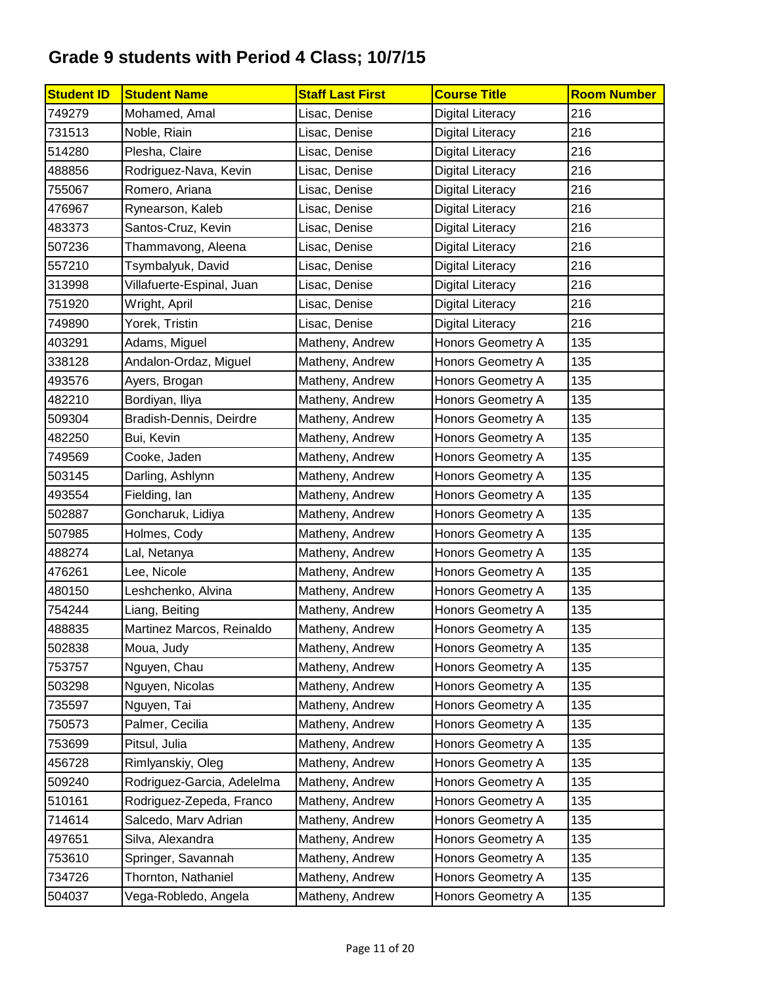| <b>Student ID</b> | <b>Student Name</b>        | <b>Staff Last First</b> | <b>Course Title</b>      | <b>Room Number</b> |
|-------------------|----------------------------|-------------------------|--------------------------|--------------------|
| 749279            | Mohamed, Amal              | Lisac, Denise           | <b>Digital Literacy</b>  | 216                |
| 731513            | Noble, Riain               | Lisac, Denise           | <b>Digital Literacy</b>  | 216                |
| 514280            | Plesha, Claire             | Lisac, Denise           | <b>Digital Literacy</b>  | 216                |
| 488856            | Rodriguez-Nava, Kevin      | Lisac, Denise           | <b>Digital Literacy</b>  | 216                |
| 755067            | Romero, Ariana             | Lisac, Denise           | <b>Digital Literacy</b>  | 216                |
| 476967            | Rynearson, Kaleb           | Lisac, Denise           | <b>Digital Literacy</b>  | 216                |
| 483373            | Santos-Cruz, Kevin         | Lisac, Denise           | <b>Digital Literacy</b>  | 216                |
| 507236            | Thammavong, Aleena         | Lisac, Denise           | <b>Digital Literacy</b>  | 216                |
| 557210            | Tsymbalyuk, David          | Lisac, Denise           | Digital Literacy         | 216                |
| 313998            | Villafuerte-Espinal, Juan  | Lisac, Denise           | <b>Digital Literacy</b>  | 216                |
| 751920            | Wright, April              | Lisac, Denise           | <b>Digital Literacy</b>  | 216                |
| 749890            | Yorek, Tristin             | Lisac, Denise           | <b>Digital Literacy</b>  | 216                |
| 403291            | Adams, Miguel              | Matheny, Andrew         | Honors Geometry A        | 135                |
| 338128            | Andalon-Ordaz, Miguel      | Matheny, Andrew         | Honors Geometry A        | 135                |
| 493576            | Ayers, Brogan              | Matheny, Andrew         | <b>Honors Geometry A</b> | 135                |
| 482210            | Bordiyan, Iliya            | Matheny, Andrew         | Honors Geometry A        | 135                |
| 509304            | Bradish-Dennis, Deirdre    | Matheny, Andrew         | <b>Honors Geometry A</b> | 135                |
| 482250            | Bui, Kevin                 | Matheny, Andrew         | <b>Honors Geometry A</b> | 135                |
| 749569            | Cooke, Jaden               | Matheny, Andrew         | Honors Geometry A        | 135                |
| 503145            | Darling, Ashlynn           | Matheny, Andrew         | Honors Geometry A        | 135                |
| 493554            | Fielding, lan              | Matheny, Andrew         | Honors Geometry A        | 135                |
| 502887            | Goncharuk, Lidiya          | Matheny, Andrew         | <b>Honors Geometry A</b> | 135                |
| 507985            | Holmes, Cody               | Matheny, Andrew         | Honors Geometry A        | 135                |
| 488274            | Lal, Netanya               | Matheny, Andrew         | Honors Geometry A        | 135                |
| 476261            | Lee, Nicole                | Matheny, Andrew         | Honors Geometry A        | 135                |
| 480150            | Leshchenko, Alvina         | Matheny, Andrew         | Honors Geometry A        | 135                |
| 754244            | Liang, Beiting             | Matheny, Andrew         | Honors Geometry A        | 135                |
| 488835            | Martinez Marcos, Reinaldo  | Matheny, Andrew         | Honors Geometry A        | 135                |
| 502838            | Moua, Judy                 | Matheny, Andrew         | Honors Geometry A        | 135                |
| 753757            | Nguyen, Chau               | Matheny, Andrew         | Honors Geometry A        | 135                |
| 503298            | Nguyen, Nicolas            | Matheny, Andrew         | Honors Geometry A        | 135                |
| 735597            | Nguyen, Tai                | Matheny, Andrew         | Honors Geometry A        | 135                |
| 750573            | Palmer, Cecilia            | Matheny, Andrew         | Honors Geometry A        | 135                |
| 753699            | Pitsul, Julia              | Matheny, Andrew         | Honors Geometry A        | 135                |
| 456728            | Rimlyanskiy, Oleg          | Matheny, Andrew         | Honors Geometry A        | 135                |
| 509240            | Rodriguez-Garcia, Adelelma | Matheny, Andrew         | Honors Geometry A        | 135                |
| 510161            | Rodriguez-Zepeda, Franco   | Matheny, Andrew         | Honors Geometry A        | 135                |
| 714614            | Salcedo, Marv Adrian       | Matheny, Andrew         | Honors Geometry A        | 135                |
| 497651            | Silva, Alexandra           | Matheny, Andrew         | Honors Geometry A        | 135                |
| 753610            | Springer, Savannah         | Matheny, Andrew         | Honors Geometry A        | 135                |
| 734726            | Thornton, Nathaniel        | Matheny, Andrew         | Honors Geometry A        | 135                |
| 504037            | Vega-Robledo, Angela       | Matheny, Andrew         | Honors Geometry A        | 135                |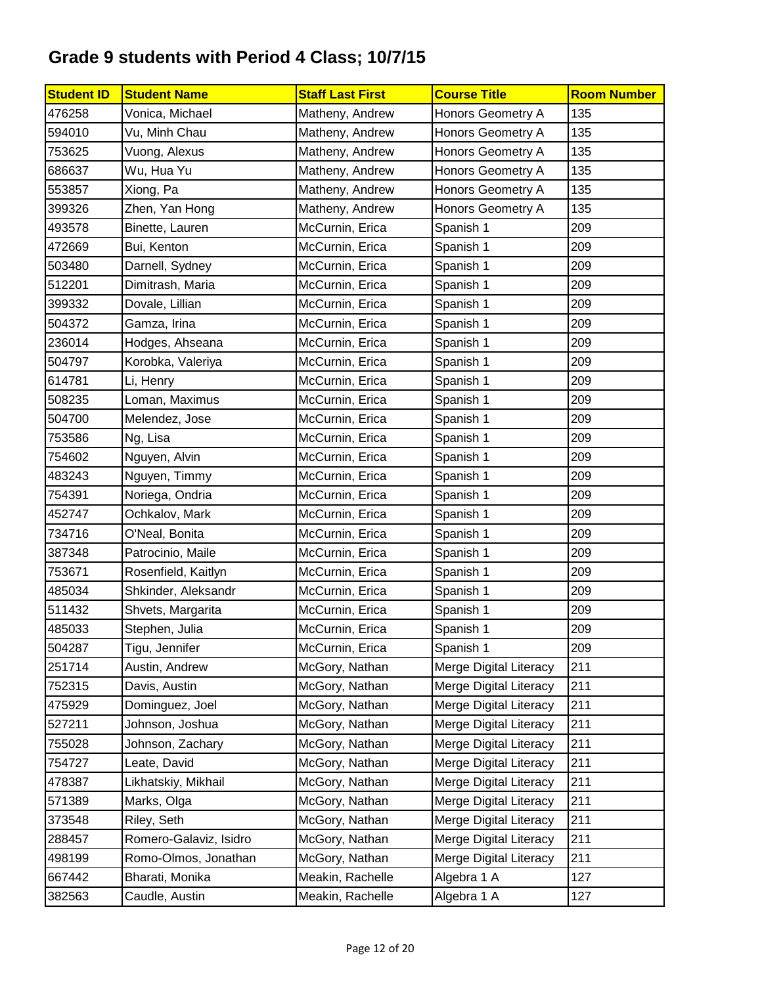| <b>Student ID</b> | <b>Student Name</b>    | <b>Staff Last First</b> | <b>Course Title</b>           | <b>Room Number</b> |
|-------------------|------------------------|-------------------------|-------------------------------|--------------------|
| 476258            | Vonica, Michael        | Matheny, Andrew         | Honors Geometry A             | 135                |
| 594010            | Vu, Minh Chau          | Matheny, Andrew         | Honors Geometry A             | 135                |
| 753625            | Vuong, Alexus          | Matheny, Andrew         | Honors Geometry A             | 135                |
| 686637            | Wu, Hua Yu             | Matheny, Andrew         | <b>Honors Geometry A</b>      | 135                |
| 553857            | Xiong, Pa              | Matheny, Andrew         | Honors Geometry A             | 135                |
| 399326            | Zhen, Yan Hong         | Matheny, Andrew         | Honors Geometry A             | 135                |
| 493578            | Binette, Lauren        | McCurnin, Erica         | Spanish 1                     | 209                |
| 472669            | Bui, Kenton            | McCurnin, Erica         | Spanish 1                     | 209                |
| 503480            | Darnell, Sydney        | McCurnin, Erica         | Spanish 1                     | 209                |
| 512201            | Dimitrash, Maria       | McCurnin, Erica         | Spanish 1                     | 209                |
| 399332            | Dovale, Lillian        | McCurnin, Erica         | Spanish 1                     | 209                |
| 504372            | Gamza, Irina           | McCurnin, Erica         | Spanish 1                     | 209                |
| 236014            | Hodges, Ahseana        | McCurnin, Erica         | Spanish 1                     | 209                |
| 504797            | Korobka, Valeriya      | McCurnin, Erica         | Spanish 1                     | 209                |
| 614781            | Li, Henry              | McCurnin, Erica         | Spanish 1                     | 209                |
| 508235            | Loman, Maximus         | McCurnin, Erica         | Spanish 1                     | 209                |
| 504700            | Melendez, Jose         | McCurnin, Erica         | Spanish 1                     | 209                |
| 753586            | Ng, Lisa               | McCurnin, Erica         | Spanish 1                     | 209                |
| 754602            | Nguyen, Alvin          | McCurnin, Erica         | Spanish 1                     | 209                |
| 483243            | Nguyen, Timmy          | McCurnin, Erica         | Spanish 1                     | 209                |
| 754391            | Noriega, Ondria        | McCurnin, Erica         | Spanish 1                     | 209                |
| 452747            | Ochkalov, Mark         | McCurnin, Erica         | Spanish 1                     | 209                |
| 734716            | O'Neal, Bonita         | McCurnin, Erica         | Spanish 1                     | 209                |
| 387348            | Patrocinio, Maile      | McCurnin, Erica         | Spanish 1                     | 209                |
| 753671            | Rosenfield, Kaitlyn    | McCurnin, Erica         | Spanish 1                     | 209                |
| 485034            | Shkinder, Aleksandr    | McCurnin, Erica         | Spanish 1                     | 209                |
| 511432            | Shvets, Margarita      | McCurnin, Erica         | Spanish 1                     | 209                |
| 485033            | Stephen, Julia         | McCurnin, Erica         | Spanish 1                     | 209                |
| 504287            | Tigu, Jennifer         | McCurnin, Erica         | Spanish 1                     | 209                |
| 251714            | Austin, Andrew         | McGory, Nathan          | Merge Digital Literacy        | 211                |
| 752315            | Davis, Austin          | McGory, Nathan          | Merge Digital Literacy        | 211                |
| 475929            | Dominguez, Joel        | McGory, Nathan          | <b>Merge Digital Literacy</b> | 211                |
| 527211            | Johnson, Joshua        | McGory, Nathan          | Merge Digital Literacy        | 211                |
| 755028            | Johnson, Zachary       | McGory, Nathan          | <b>Merge Digital Literacy</b> | 211                |
| 754727            | Leate, David           | McGory, Nathan          | Merge Digital Literacy        | 211                |
| 478387            | Likhatskiy, Mikhail    | McGory, Nathan          | Merge Digital Literacy        | 211                |
| 571389            | Marks, Olga            | McGory, Nathan          | Merge Digital Literacy        | 211                |
| 373548            | Riley, Seth            | McGory, Nathan          | Merge Digital Literacy        | 211                |
| 288457            | Romero-Galaviz, Isidro | McGory, Nathan          | Merge Digital Literacy        | 211                |
| 498199            | Romo-Olmos, Jonathan   | McGory, Nathan          | Merge Digital Literacy        | 211                |
| 667442            | Bharati, Monika        | Meakin, Rachelle        | Algebra 1 A                   | 127                |
| 382563            | Caudle, Austin         | Meakin, Rachelle        | Algebra 1 A                   | 127                |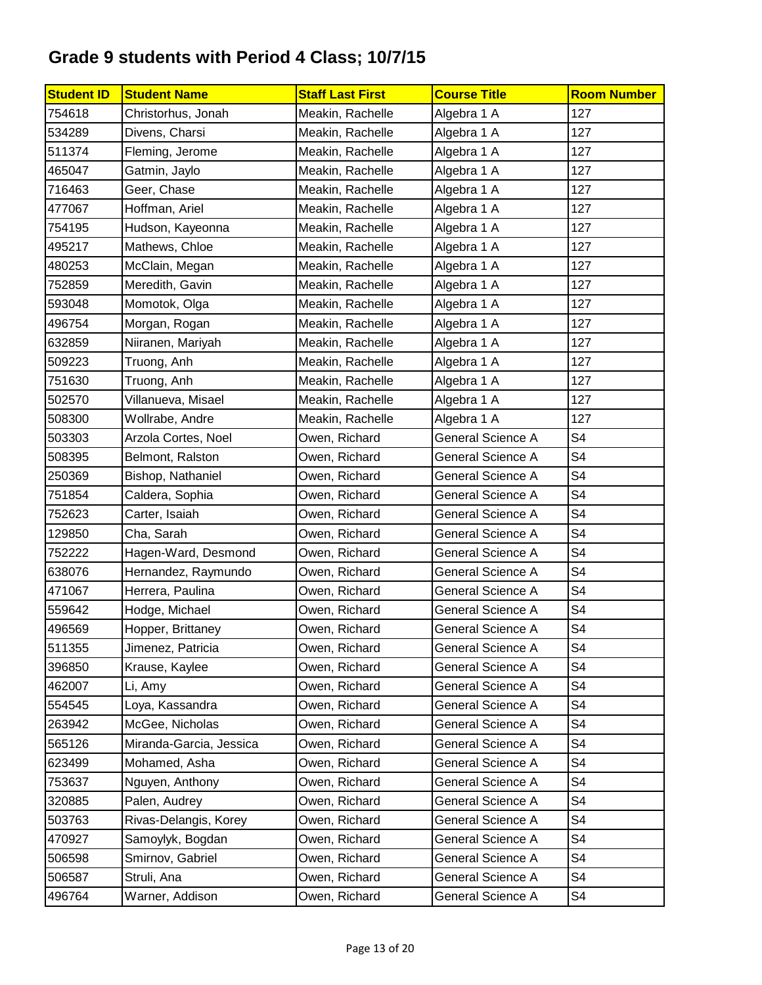| <b>Student ID</b> | <b>Student Name</b>     | <b>Staff Last First</b> | <b>Course Title</b>      | <b>Room Number</b> |
|-------------------|-------------------------|-------------------------|--------------------------|--------------------|
| 754618            | Christorhus, Jonah      | Meakin, Rachelle        | Algebra 1 A              | 127                |
| 534289            | Divens, Charsi          | Meakin, Rachelle        | Algebra 1 A              | 127                |
| 511374            | Fleming, Jerome         | Meakin, Rachelle        | Algebra 1 A              | 127                |
| 465047            | Gatmin, Jaylo           | Meakin, Rachelle        | Algebra 1 A              | 127                |
| 716463            | Geer, Chase             | Meakin, Rachelle        | Algebra 1 A              | 127                |
| 477067            | Hoffman, Ariel          | Meakin, Rachelle        | Algebra 1 A              | 127                |
| 754195            | Hudson, Kayeonna        | Meakin, Rachelle        | Algebra 1 A              | 127                |
| 495217            | Mathews, Chloe          | Meakin, Rachelle        | Algebra 1 A              | 127                |
| 480253            | McClain, Megan          | Meakin, Rachelle        | Algebra 1 A              | 127                |
| 752859            | Meredith, Gavin         | Meakin, Rachelle        | Algebra 1 A              | 127                |
| 593048            | Momotok, Olga           | Meakin, Rachelle        | Algebra 1 A              | 127                |
| 496754            | Morgan, Rogan           | Meakin, Rachelle        | Algebra 1 A              | 127                |
| 632859            | Niiranen, Mariyah       | Meakin, Rachelle        | Algebra 1 A              | 127                |
| 509223            | Truong, Anh             | Meakin, Rachelle        | Algebra 1 A              | 127                |
| 751630            | Truong, Anh             | Meakin, Rachelle        | Algebra 1 A              | 127                |
| 502570            | Villanueva, Misael      | Meakin, Rachelle        | Algebra 1 A              | 127                |
| 508300            | Wollrabe, Andre         | Meakin, Rachelle        | Algebra 1 A              | 127                |
| 503303            | Arzola Cortes, Noel     | Owen, Richard           | <b>General Science A</b> | S4                 |
| 508395            | Belmont, Ralston        | Owen, Richard           | General Science A        | S4                 |
| 250369            | Bishop, Nathaniel       | Owen, Richard           | <b>General Science A</b> | S <sub>4</sub>     |
| 751854            | Caldera, Sophia         | Owen, Richard           | General Science A        | S4                 |
| 752623            | Carter, Isaiah          | Owen, Richard           | General Science A        | S4                 |
| 129850            | Cha, Sarah              | Owen, Richard           | <b>General Science A</b> | S4                 |
| 752222            | Hagen-Ward, Desmond     | Owen, Richard           | General Science A        | S4                 |
| 638076            | Hernandez, Raymundo     | Owen, Richard           | General Science A        | S4                 |
| 471067            | Herrera, Paulina        | Owen, Richard           | <b>General Science A</b> | S4                 |
| 559642            | Hodge, Michael          | Owen, Richard           | General Science A        | S <sub>4</sub>     |
| 496569            | Hopper, Brittaney       | Owen, Richard           | <b>General Science A</b> | S4                 |
| 511355            | Jimenez, Patricia       | Owen, Richard           | General Science A        | S <sub>4</sub>     |
| 396850            | Krause, Kaylee          | Owen, Richard           | General Science A        | S4                 |
| 462007            | Li, Amy                 | Owen, Richard           | General Science A        | S4                 |
| 554545            | Loya, Kassandra         | Owen, Richard           | General Science A        | S4                 |
| 263942            | McGee, Nicholas         | Owen, Richard           | <b>General Science A</b> | S4                 |
| 565126            | Miranda-Garcia, Jessica | Owen, Richard           | General Science A        | S4                 |
| 623499            | Mohamed, Asha           | Owen, Richard           | <b>General Science A</b> | S4                 |
| 753637            | Nguyen, Anthony         | Owen, Richard           | General Science A        | S4                 |
| 320885            | Palen, Audrey           | Owen, Richard           | General Science A        | S4                 |
| 503763            | Rivas-Delangis, Korey   | Owen, Richard           | General Science A        | S4                 |
| 470927            | Samoylyk, Bogdan        | Owen, Richard           | General Science A        | S4                 |
| 506598            | Smirnov, Gabriel        | Owen, Richard           | General Science A        | S4                 |
| 506587            | Struli, Ana             | Owen, Richard           | General Science A        | S4                 |
| 496764            | Warner, Addison         | Owen, Richard           | General Science A        | S4                 |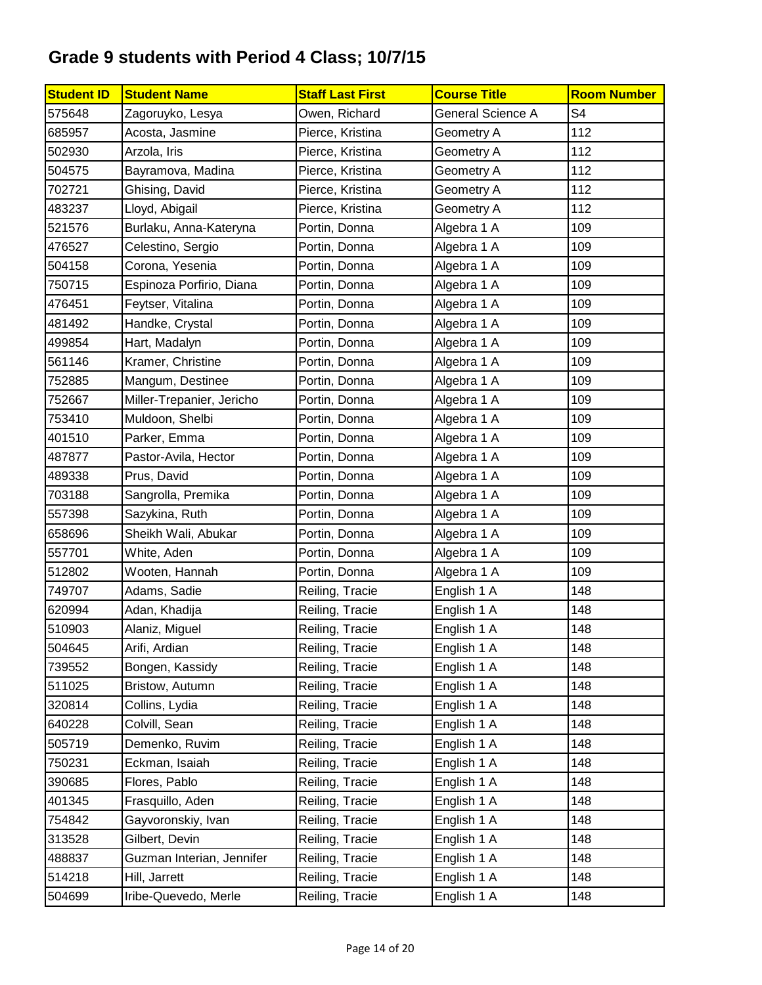| <b>Student ID</b> | <b>Student Name</b>       | <b>Staff Last First</b> | <b>Course Title</b> | <b>Room Number</b> |
|-------------------|---------------------------|-------------------------|---------------------|--------------------|
| 575648            | Zagoruyko, Lesya          | Owen, Richard           | General Science A   | S4                 |
| 685957            | Acosta, Jasmine           | Pierce, Kristina        | Geometry A          | 112                |
| 502930            | Arzola, Iris              | Pierce, Kristina        | Geometry A          | 112                |
| 504575            | Bayramova, Madina         | Pierce, Kristina        | Geometry A          | 112                |
| 702721            | Ghising, David            | Pierce, Kristina        | Geometry A          | 112                |
| 483237            | Lloyd, Abigail            | Pierce, Kristina        | Geometry A          | 112                |
| 521576            | Burlaku, Anna-Kateryna    | Portin, Donna           | Algebra 1 A         | 109                |
| 476527            | Celestino, Sergio         | Portin, Donna           | Algebra 1 A         | 109                |
| 504158            | Corona, Yesenia           | Portin, Donna           | Algebra 1 A         | 109                |
| 750715            | Espinoza Porfirio, Diana  | Portin, Donna           | Algebra 1 A         | 109                |
| 476451            | Feytser, Vitalina         | Portin, Donna           | Algebra 1 A         | 109                |
| 481492            | Handke, Crystal           | Portin, Donna           | Algebra 1 A         | 109                |
| 499854            | Hart, Madalyn             | Portin, Donna           | Algebra 1 A         | 109                |
| 561146            | Kramer, Christine         | Portin, Donna           | Algebra 1 A         | 109                |
| 752885            | Mangum, Destinee          | Portin, Donna           | Algebra 1 A         | 109                |
| 752667            | Miller-Trepanier, Jericho | Portin, Donna           | Algebra 1 A         | 109                |
| 753410            | Muldoon, Shelbi           | Portin, Donna           | Algebra 1 A         | 109                |
| 401510            | Parker, Emma              | Portin, Donna           | Algebra 1 A         | 109                |
| 487877            | Pastor-Avila, Hector      | Portin, Donna           | Algebra 1 A         | 109                |
| 489338            | Prus, David               | Portin, Donna           | Algebra 1 A         | 109                |
| 703188            | Sangrolla, Premika        | Portin, Donna           | Algebra 1 A         | 109                |
| 557398            | Sazykina, Ruth            | Portin, Donna           | Algebra 1 A         | 109                |
| 658696            | Sheikh Wali, Abukar       | Portin, Donna           | Algebra 1 A         | 109                |
| 557701            | White, Aden               | Portin, Donna           | Algebra 1 A         | 109                |
| 512802            | Wooten, Hannah            | Portin, Donna           | Algebra 1 A         | 109                |
| 749707            | Adams, Sadie              | Reiling, Tracie         | English 1 A         | 148                |
| 620994            | Adan, Khadija             | Reiling, Tracie         | English 1 A         | 148                |
| 510903            | Alaniz, Miguel            | Reiling, Tracie         | English 1 A         | 148                |
| 504645            | Arifi, Ardian             | Reiling, Tracie         | English 1 A         | 148                |
| 739552            | Bongen, Kassidy           | Reiling, Tracie         | English 1 A         | 148                |
| 511025            | Bristow, Autumn           | Reiling, Tracie         | English 1 A         | 148                |
| 320814            | Collins, Lydia            | Reiling, Tracie         | English 1 A         | 148                |
| 640228            | Colvill, Sean             | Reiling, Tracie         | English 1 A         | 148                |
| 505719            | Demenko, Ruvim            | Reiling, Tracie         | English 1 A         | 148                |
| 750231            | Eckman, Isaiah            | Reiling, Tracie         | English 1 A         | 148                |
| 390685            | Flores, Pablo             | Reiling, Tracie         | English 1 A         | 148                |
| 401345            | Frasquillo, Aden          | Reiling, Tracie         | English 1 A         | 148                |
| 754842            | Gayvoronskiy, Ivan        | Reiling, Tracie         | English 1 A         | 148                |
| 313528            | Gilbert, Devin            | Reiling, Tracie         | English 1 A         | 148                |
| 488837            | Guzman Interian, Jennifer | Reiling, Tracie         | English 1 A         | 148                |
| 514218            | Hill, Jarrett             | Reiling, Tracie         | English 1 A         | 148                |
| 504699            | Iribe-Quevedo, Merle      | Reiling, Tracie         | English 1 A         | 148                |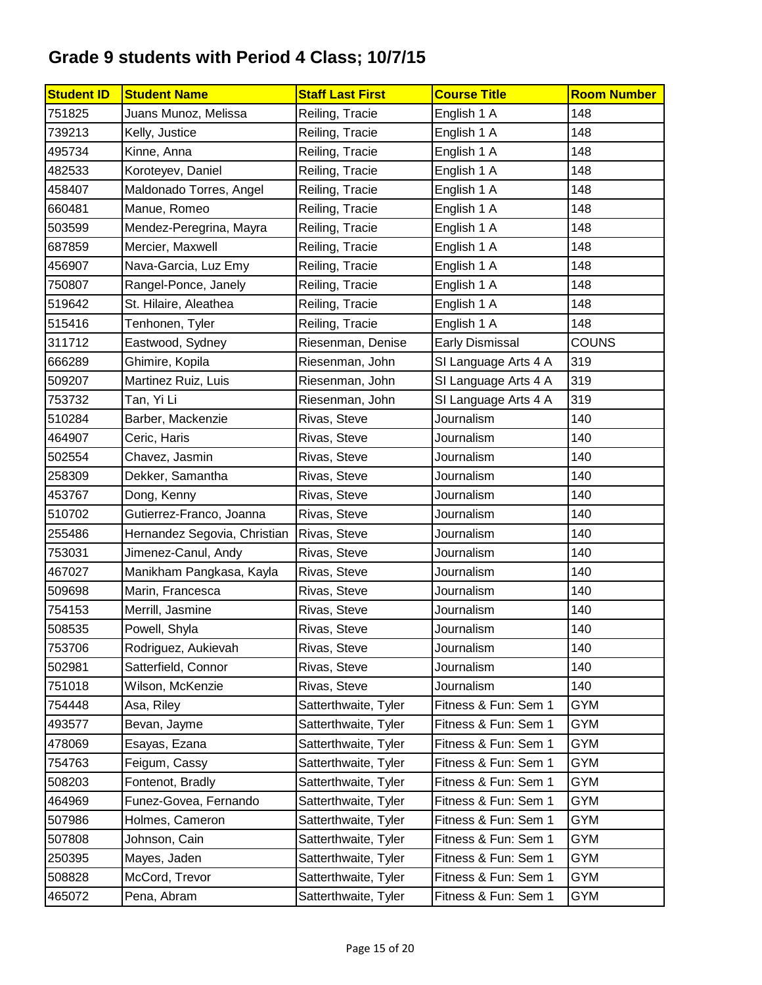| <b>Student ID</b> | <b>Student Name</b>          | <b>Staff Last First</b> | <b>Course Title</b>    | <b>Room Number</b> |
|-------------------|------------------------------|-------------------------|------------------------|--------------------|
| 751825            | Juans Munoz, Melissa         | Reiling, Tracie         | English 1 A            | 148                |
| 739213            | Kelly, Justice               | Reiling, Tracie         | English 1 A            | 148                |
| 495734            | Kinne, Anna                  | Reiling, Tracie         | English 1 A            | 148                |
| 482533            | Koroteyev, Daniel            | Reiling, Tracie         | English 1 A            | 148                |
| 458407            | Maldonado Torres, Angel      | Reiling, Tracie         | English 1 A            | 148                |
| 660481            | Manue, Romeo                 | Reiling, Tracie         | English 1 A            | 148                |
| 503599            | Mendez-Peregrina, Mayra      | Reiling, Tracie         | English 1 A            | 148                |
| 687859            | Mercier, Maxwell             | Reiling, Tracie         | English 1 A            | 148                |
| 456907            | Nava-Garcia, Luz Emy         | Reiling, Tracie         | English 1 A            | 148                |
| 750807            | Rangel-Ponce, Janely         | Reiling, Tracie         | English 1 A            | 148                |
| 519642            | St. Hilaire, Aleathea        | Reiling, Tracie         | English 1 A            | 148                |
| 515416            | Tenhonen, Tyler              | Reiling, Tracie         | English 1 A            | 148                |
| 311712            | Eastwood, Sydney             | Riesenman, Denise       | <b>Early Dismissal</b> | <b>COUNS</b>       |
| 666289            | Ghimire, Kopila              | Riesenman, John         | SI Language Arts 4 A   | 319                |
| 509207            | Martinez Ruiz, Luis          | Riesenman, John         | SI Language Arts 4 A   | 319                |
| 753732            | Tan, Yi Li                   | Riesenman, John         | SI Language Arts 4 A   | 319                |
| 510284            | Barber, Mackenzie            | Rivas, Steve            | Journalism             | 140                |
| 464907            | Ceric, Haris                 | Rivas, Steve            | Journalism             | 140                |
| 502554            | Chavez, Jasmin               | Rivas, Steve            | Journalism             | 140                |
| 258309            | Dekker, Samantha             | Rivas, Steve            | Journalism             | 140                |
| 453767            | Dong, Kenny                  | Rivas, Steve            | Journalism             | 140                |
| 510702            | Gutierrez-Franco, Joanna     | Rivas, Steve            | Journalism             | 140                |
| 255486            | Hernandez Segovia, Christian | Rivas, Steve            | Journalism             | 140                |
| 753031            | Jimenez-Canul, Andy          | Rivas, Steve            | Journalism             | 140                |
| 467027            | Manikham Pangkasa, Kayla     | Rivas, Steve            | Journalism             | 140                |
| 509698            | Marin, Francesca             | Rivas, Steve            | Journalism             | 140                |
| 754153            | Merrill, Jasmine             | Rivas, Steve            | Journalism             | 140                |
| 508535            | Powell, Shyla                | Rivas, Steve            | Journalism             | 140                |
| 753706            | Rodriguez, Aukievah          | Rivas, Steve            | Journalism             | 140                |
| 502981            | Satterfield, Connor          | Rivas, Steve            | Journalism             | 140                |
| 751018            | Wilson, McKenzie             | Rivas, Steve            | Journalism             | 140                |
| 754448            | Asa, Riley                   | Satterthwaite, Tyler    | Fitness & Fun: Sem 1   | GYM                |
| 493577            | Bevan, Jayme                 | Satterthwaite, Tyler    | Fitness & Fun: Sem 1   | GYM                |
| 478069            | Esayas, Ezana                | Satterthwaite, Tyler    | Fitness & Fun: Sem 1   | GYM                |
| 754763            | Feigum, Cassy                | Satterthwaite, Tyler    | Fitness & Fun: Sem 1   | <b>GYM</b>         |
| 508203            | Fontenot, Bradly             | Satterthwaite, Tyler    | Fitness & Fun: Sem 1   | <b>GYM</b>         |
| 464969            | Funez-Govea, Fernando        | Satterthwaite, Tyler    | Fitness & Fun: Sem 1   | <b>GYM</b>         |
| 507986            | Holmes, Cameron              | Satterthwaite, Tyler    | Fitness & Fun: Sem 1   | <b>GYM</b>         |
| 507808            | Johnson, Cain                | Satterthwaite, Tyler    | Fitness & Fun: Sem 1   | GYM                |
| 250395            | Mayes, Jaden                 | Satterthwaite, Tyler    | Fitness & Fun: Sem 1   | GYM                |
| 508828            | McCord, Trevor               | Satterthwaite, Tyler    | Fitness & Fun: Sem 1   | GYM                |
| 465072            | Pena, Abram                  | Satterthwaite, Tyler    | Fitness & Fun: Sem 1   | GYM                |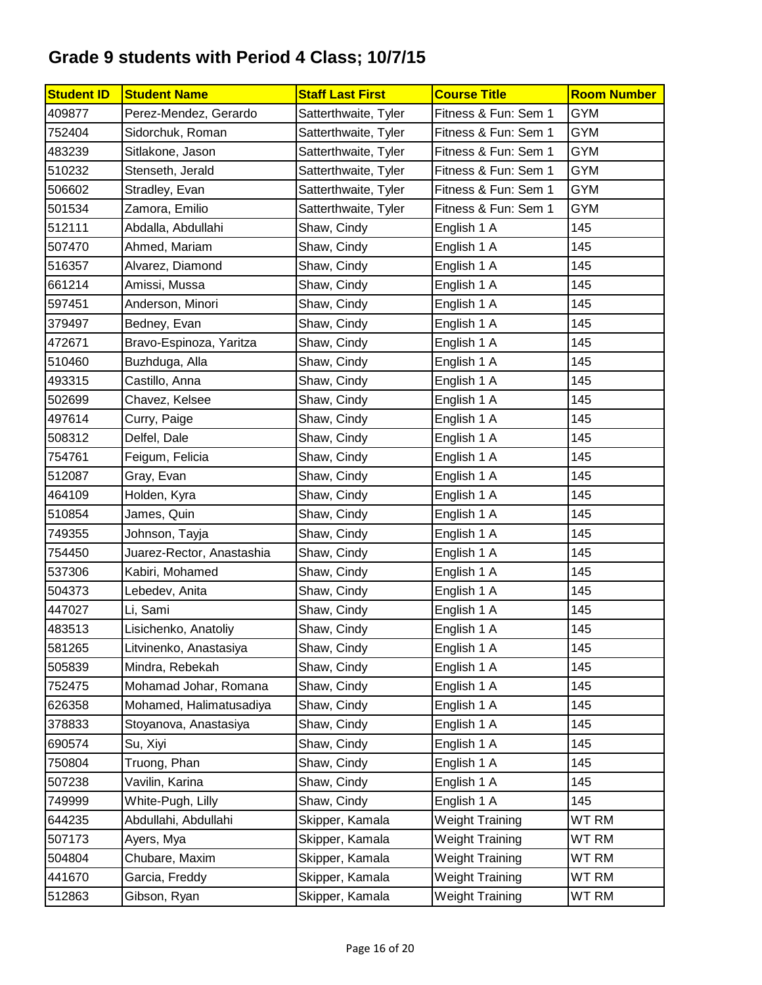| <b>Student ID</b> | <b>Student Name</b>       | <b>Staff Last First</b> | <b>Course Title</b>    | <b>Room Number</b> |
|-------------------|---------------------------|-------------------------|------------------------|--------------------|
| 409877            | Perez-Mendez, Gerardo     | Satterthwaite, Tyler    | Fitness & Fun: Sem 1   | GYM                |
| 752404            | Sidorchuk, Roman          | Satterthwaite, Tyler    | Fitness & Fun: Sem 1   | <b>GYM</b>         |
| 483239            | Sitlakone, Jason          | Satterthwaite, Tyler    | Fitness & Fun: Sem 1   | <b>GYM</b>         |
| 510232            | Stenseth, Jerald          | Satterthwaite, Tyler    | Fitness & Fun: Sem 1   | <b>GYM</b>         |
| 506602            | Stradley, Evan            | Satterthwaite, Tyler    | Fitness & Fun: Sem 1   | <b>GYM</b>         |
| 501534            | Zamora, Emilio            | Satterthwaite, Tyler    | Fitness & Fun: Sem 1   | <b>GYM</b>         |
| 512111            | Abdalla, Abdullahi        | Shaw, Cindy             | English 1 A            | 145                |
| 507470            | Ahmed, Mariam             | Shaw, Cindy             | English 1 A            | 145                |
| 516357            | Alvarez, Diamond          | Shaw, Cindy             | English 1 A            | 145                |
| 661214            | Amissi, Mussa             | Shaw, Cindy             | English 1 A            | 145                |
| 597451            | Anderson, Minori          | Shaw, Cindy             | English 1 A            | 145                |
| 379497            | Bedney, Evan              | Shaw, Cindy             | English 1 A            | 145                |
| 472671            | Bravo-Espinoza, Yaritza   | Shaw, Cindy             | English 1 A            | 145                |
| 510460            | Buzhduga, Alla            | Shaw, Cindy             | English 1 A            | 145                |
| 493315            | Castillo, Anna            | Shaw, Cindy             | English 1 A            | 145                |
| 502699            | Chavez, Kelsee            | Shaw, Cindy             | English 1 A            | 145                |
| 497614            | Curry, Paige              | Shaw, Cindy             | English 1 A            | 145                |
| 508312            | Delfel, Dale              | Shaw, Cindy             | English 1 A            | 145                |
| 754761            | Feigum, Felicia           | Shaw, Cindy             | English 1 A            | 145                |
| 512087            | Gray, Evan                | Shaw, Cindy             | English 1 A            | 145                |
| 464109            | Holden, Kyra              | Shaw, Cindy             | English 1 A            | 145                |
| 510854            | James, Quin               | Shaw, Cindy             | English 1 A            | 145                |
| 749355            | Johnson, Tayja            | Shaw, Cindy             | English 1 A            | 145                |
| 754450            | Juarez-Rector, Anastashia | Shaw, Cindy             | English 1 A            | 145                |
| 537306            | Kabiri, Mohamed           | Shaw, Cindy             | English 1 A            | 145                |
| 504373            | Lebedev, Anita            | Shaw, Cindy             | English 1 A            | 145                |
| 447027            | Li, Sami                  | Shaw, Cindy             | English 1 A            | 145                |
| 483513            | Lisichenko, Anatoliy      | Shaw, Cindy             | English 1 A            | 145                |
| 581265            | Litvinenko, Anastasiya    | Shaw, Cindy             | English 1 A            | 145                |
| 505839            | Mindra, Rebekah           | Shaw, Cindy             | English 1 A            | 145                |
| 752475            | Mohamad Johar, Romana     | Shaw, Cindy             | English 1 A            | 145                |
| 626358            | Mohamed, Halimatusadiya   | Shaw, Cindy             | English 1 A            | 145                |
| 378833            | Stoyanova, Anastasiya     | Shaw, Cindy             | English 1 A            | 145                |
| 690574            | Su, Xiyi                  | Shaw, Cindy             | English 1 A            | 145                |
| 750804            | Truong, Phan              | Shaw, Cindy             | English 1 A            | 145                |
| 507238            | Vavilin, Karina           | Shaw, Cindy             | English 1 A            | 145                |
| 749999            | White-Pugh, Lilly         | Shaw, Cindy             | English 1 A            | 145                |
| 644235            | Abdullahi, Abdullahi      | Skipper, Kamala         | <b>Weight Training</b> | WT RM              |
| 507173            | Ayers, Mya                | Skipper, Kamala         | <b>Weight Training</b> | WT RM              |
| 504804            | Chubare, Maxim            | Skipper, Kamala         | <b>Weight Training</b> | WT RM              |
| 441670            | Garcia, Freddy            | Skipper, Kamala         | <b>Weight Training</b> | WT RM              |
| 512863            | Gibson, Ryan              | Skipper, Kamala         | <b>Weight Training</b> | WT RM              |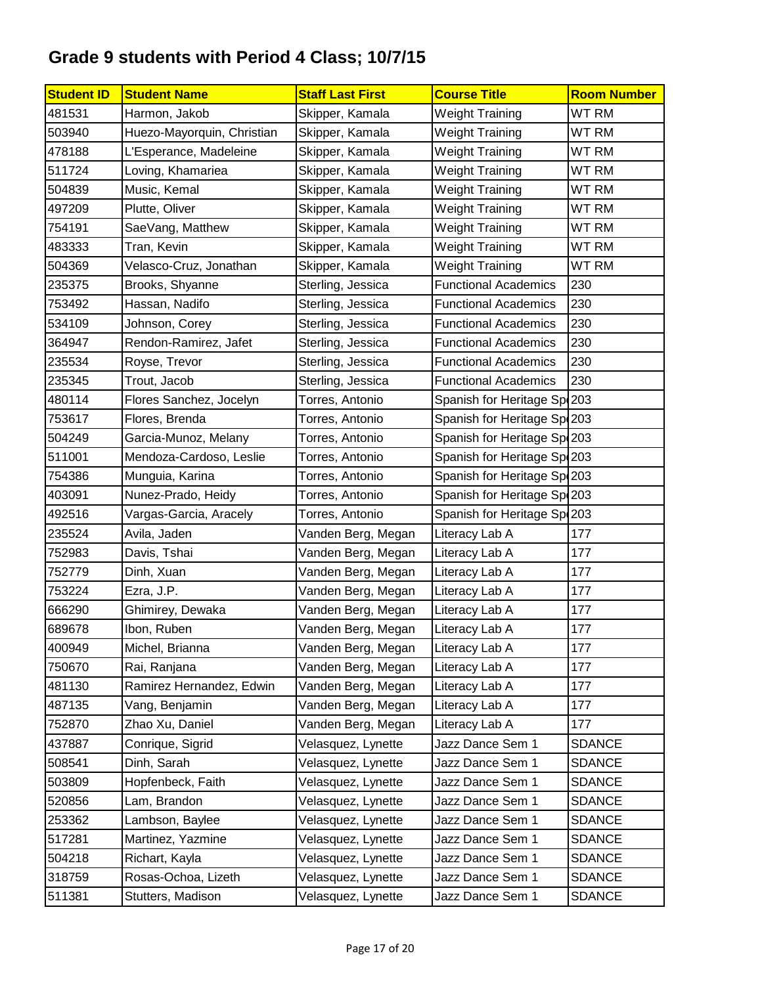| <b>Student ID</b> | <b>Student Name</b>        | <b>Staff Last First</b> | <b>Course Title</b>          | <b>Room Number</b> |
|-------------------|----------------------------|-------------------------|------------------------------|--------------------|
| 481531            | Harmon, Jakob              | Skipper, Kamala         | <b>Weight Training</b>       | WT RM              |
| 503940            | Huezo-Mayorquin, Christian | Skipper, Kamala         | <b>Weight Training</b>       | WT RM              |
| 478188            | L'Esperance, Madeleine     | Skipper, Kamala         | <b>Weight Training</b>       | WT RM              |
| 511724            | Loving, Khamariea          | Skipper, Kamala         | <b>Weight Training</b>       | WT RM              |
| 504839            | Music, Kemal               | Skipper, Kamala         | <b>Weight Training</b>       | WT RM              |
| 497209            | Plutte, Oliver             | Skipper, Kamala         | <b>Weight Training</b>       | WT RM              |
| 754191            | SaeVang, Matthew           | Skipper, Kamala         | <b>Weight Training</b>       | WT RM              |
| 483333            | Tran, Kevin                | Skipper, Kamala         | <b>Weight Training</b>       | WT RM              |
| 504369            | Velasco-Cruz, Jonathan     | Skipper, Kamala         | <b>Weight Training</b>       | WT RM              |
| 235375            | Brooks, Shyanne            | Sterling, Jessica       | <b>Functional Academics</b>  | 230                |
| 753492            | Hassan, Nadifo             | Sterling, Jessica       | <b>Functional Academics</b>  | 230                |
| 534109            | Johnson, Corey             | Sterling, Jessica       | <b>Functional Academics</b>  | 230                |
| 364947            | Rendon-Ramirez, Jafet      | Sterling, Jessica       | <b>Functional Academics</b>  | 230                |
| 235534            | Royse, Trevor              | Sterling, Jessica       | <b>Functional Academics</b>  | 230                |
| 235345            | Trout, Jacob               | Sterling, Jessica       | <b>Functional Academics</b>  | 230                |
| 480114            | Flores Sanchez, Jocelyn    | Torres, Antonio         | Spanish for Heritage Sp. 203 |                    |
| 753617            | Flores, Brenda             | Torres, Antonio         | Spanish for Heritage Sp. 203 |                    |
| 504249            | Garcia-Munoz, Melany       | Torres, Antonio         | Spanish for Heritage Sp(203  |                    |
| 511001            | Mendoza-Cardoso, Leslie    | Torres, Antonio         | Spanish for Heritage Sp. 203 |                    |
| 754386            | Munguia, Karina            | Torres, Antonio         | Spanish for Heritage Sp. 203 |                    |
| 403091            | Nunez-Prado, Heidy         | Torres, Antonio         | Spanish for Heritage Sp. 203 |                    |
| 492516            | Vargas-Garcia, Aracely     | Torres, Antonio         | Spanish for Heritage Sp. 203 |                    |
| 235524            | Avila, Jaden               | Vanden Berg, Megan      | Literacy Lab A               | 177                |
| 752983            | Davis, Tshai               | Vanden Berg, Megan      | Literacy Lab A               | 177                |
| 752779            | Dinh, Xuan                 | Vanden Berg, Megan      | Literacy Lab A               | 177                |
| 753224            | Ezra, J.P.                 | Vanden Berg, Megan      | Literacy Lab A               | 177                |
| 666290            | Ghimirey, Dewaka           | Vanden Berg, Megan      | Literacy Lab A               | 177                |
| 689678            | Ibon, Ruben                | Vanden Berg, Megan      | Literacy Lab A               | 177                |
| 400949            | Michel, Brianna            | Vanden Berg, Megan      | Literacy Lab A               | 177                |
| 750670            | Rai, Ranjana               | Vanden Berg, Megan      | Literacy Lab A               | 177                |
| 481130            | Ramirez Hernandez, Edwin   | Vanden Berg, Megan      | Literacy Lab A               | 177                |
| 487135            | Vang, Benjamin             | Vanden Berg, Megan      | Literacy Lab A               | 177                |
| 752870            | Zhao Xu, Daniel            | Vanden Berg, Megan      | Literacy Lab A               | 177                |
| 437887            | Conrique, Sigrid           | Velasquez, Lynette      | Jazz Dance Sem 1             | <b>SDANCE</b>      |
| 508541            | Dinh, Sarah                | Velasquez, Lynette      | Jazz Dance Sem 1             | SDANCE             |
| 503809            | Hopfenbeck, Faith          | Velasquez, Lynette      | Jazz Dance Sem 1             | <b>SDANCE</b>      |
| 520856            | Lam, Brandon               | Velasquez, Lynette      | Jazz Dance Sem 1             | <b>SDANCE</b>      |
| 253362            | Lambson, Baylee            | Velasquez, Lynette      | Jazz Dance Sem 1             | <b>SDANCE</b>      |
| 517281            | Martinez, Yazmine          | Velasquez, Lynette      | Jazz Dance Sem 1             | <b>SDANCE</b>      |
| 504218            | Richart, Kayla             | Velasquez, Lynette      | Jazz Dance Sem 1             | <b>SDANCE</b>      |
| 318759            | Rosas-Ochoa, Lizeth        | Velasquez, Lynette      | Jazz Dance Sem 1             | <b>SDANCE</b>      |
| 511381            | Stutters, Madison          | Velasquez, Lynette      | Jazz Dance Sem 1             | <b>SDANCE</b>      |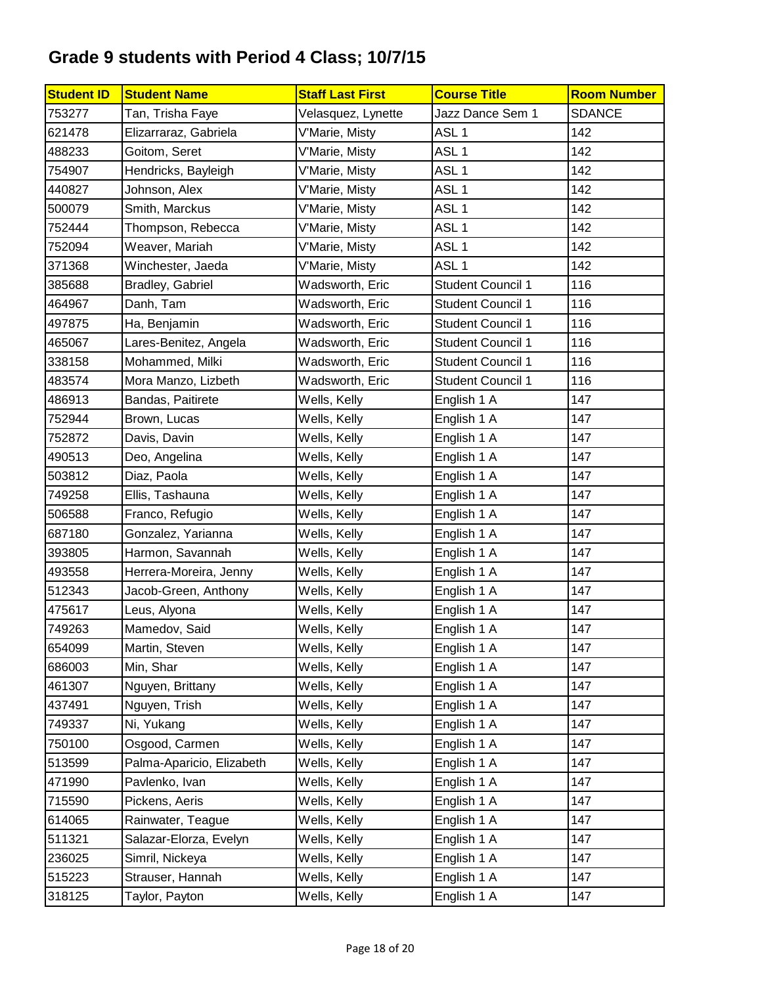| <b>Student ID</b> | <b>Student Name</b>       | <b>Staff Last First</b> | <b>Course Title</b>      | <b>Room Number</b> |
|-------------------|---------------------------|-------------------------|--------------------------|--------------------|
| 753277            | Tan, Trisha Faye          | Velasquez, Lynette      | Jazz Dance Sem 1         | <b>SDANCE</b>      |
| 621478            | Elizarraraz, Gabriela     | V'Marie, Misty          | ASL <sub>1</sub>         | 142                |
| 488233            | Goitom, Seret             | V'Marie, Misty          | ASL <sub>1</sub>         | 142                |
| 754907            | Hendricks, Bayleigh       | V'Marie, Misty          | ASL <sub>1</sub>         | 142                |
| 440827            | Johnson, Alex             | V'Marie, Misty          | ASL <sub>1</sub>         | 142                |
| 500079            | Smith, Marckus            | V'Marie, Misty          | ASL <sub>1</sub>         | 142                |
| 752444            | Thompson, Rebecca         | V'Marie, Misty          | ASL <sub>1</sub>         | 142                |
| 752094            | Weaver, Mariah            | V'Marie, Misty          | ASL <sub>1</sub>         | 142                |
| 371368            | Winchester, Jaeda         | V'Marie, Misty          | ASL <sub>1</sub>         | 142                |
| 385688            | Bradley, Gabriel          | Wadsworth, Eric         | <b>Student Council 1</b> | 116                |
| 464967            | Danh, Tam                 | Wadsworth, Eric         | <b>Student Council 1</b> | 116                |
| 497875            | Ha, Benjamin              | Wadsworth, Eric         | <b>Student Council 1</b> | 116                |
| 465067            | Lares-Benitez, Angela     | Wadsworth, Eric         | <b>Student Council 1</b> | 116                |
| 338158            | Mohammed, Milki           | Wadsworth, Eric         | <b>Student Council 1</b> | 116                |
| 483574            | Mora Manzo, Lizbeth       | Wadsworth, Eric         | <b>Student Council 1</b> | 116                |
| 486913            | Bandas, Paitirete         | Wells, Kelly            | English 1 A              | 147                |
| 752944            | Brown, Lucas              | Wells, Kelly            | English 1 A              | 147                |
| 752872            | Davis, Davin              | Wells, Kelly            | English 1 A              | 147                |
| 490513            | Deo, Angelina             | Wells, Kelly            | English 1 A              | 147                |
| 503812            | Diaz, Paola               | Wells, Kelly            | English 1 A              | 147                |
| 749258            | Ellis, Tashauna           | Wells, Kelly            | English 1 A              | 147                |
| 506588            | Franco, Refugio           | Wells, Kelly            | English 1 A              | 147                |
| 687180            | Gonzalez, Yarianna        | Wells, Kelly            | English 1 A              | 147                |
| 393805            | Harmon, Savannah          | Wells, Kelly            | English 1 A              | 147                |
| 493558            | Herrera-Moreira, Jenny    | Wells, Kelly            | English 1 A              | 147                |
| 512343            | Jacob-Green, Anthony      | Wells, Kelly            | English 1 A              | 147                |
| 475617            | Leus, Alyona              | Wells, Kelly            | English 1 A              | 147                |
| 749263            | Mamedov, Said             | Wells, Kelly            | English 1 A              | 147                |
| 654099            | Martin, Steven            | Wells, Kelly            | English 1 A              | 147                |
| 686003            | Min, Shar                 | Wells, Kelly            | English 1 A              | 147                |
| 461307            | Nguyen, Brittany          | Wells, Kelly            | English 1 A              | 147                |
| 437491            | Nguyen, Trish             | Wells, Kelly            | English 1 A              | 147                |
| 749337            | Ni, Yukang                | Wells, Kelly            | English 1 A              | 147                |
| 750100            | Osgood, Carmen            | Wells, Kelly            | English 1 A              | 147                |
| 513599            | Palma-Aparicio, Elizabeth | Wells, Kelly            | English 1 A              | 147                |
| 471990            | Pavlenko, Ivan            | Wells, Kelly            | English 1 A              | 147                |
| 715590            | Pickens, Aeris            | Wells, Kelly            | English 1 A              | 147                |
| 614065            | Rainwater, Teague         | Wells, Kelly            | English 1 A              | 147                |
| 511321            | Salazar-Elorza, Evelyn    | Wells, Kelly            | English 1 A              | 147                |
| 236025            | Simril, Nickeya           | Wells, Kelly            | English 1 A              | 147                |
| 515223            | Strauser, Hannah          | Wells, Kelly            | English 1 A              | 147                |
| 318125            | Taylor, Payton            | Wells, Kelly            | English 1 A              | 147                |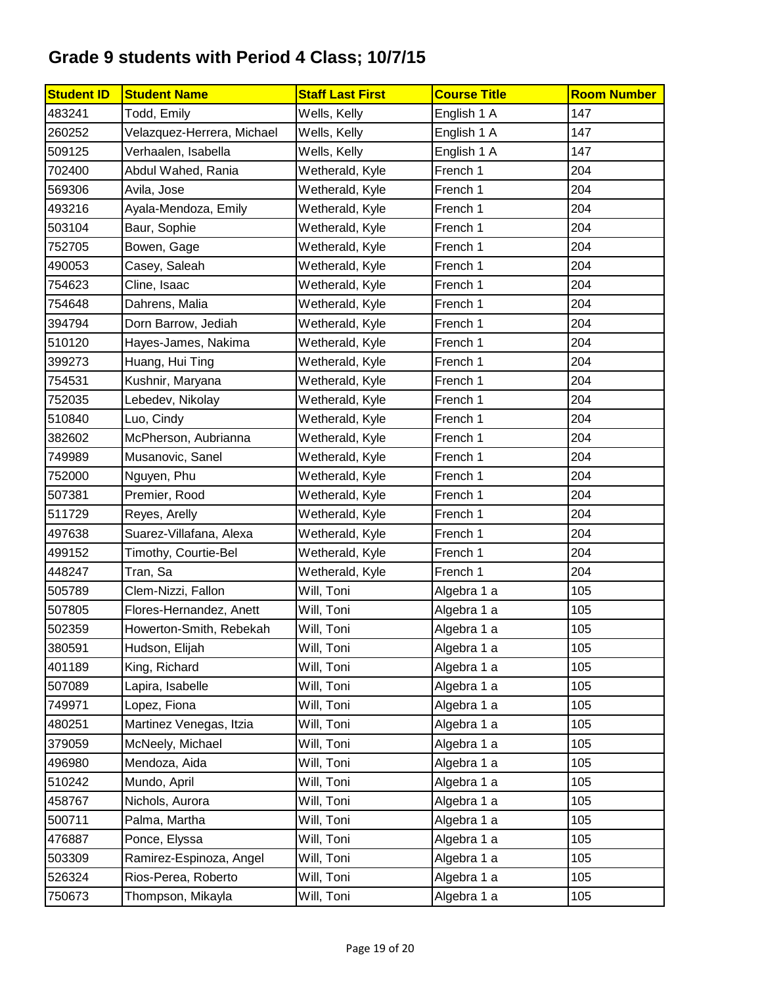| <b>Student ID</b> | <b>Student Name</b>        | <b>Staff Last First</b> | <b>Course Title</b> | <b>Room Number</b> |
|-------------------|----------------------------|-------------------------|---------------------|--------------------|
| 483241            | Todd, Emily                | Wells, Kelly            | English 1 A         | 147                |
| 260252            | Velazquez-Herrera, Michael | Wells, Kelly            | English 1 A         | 147                |
| 509125            | Verhaalen, Isabella        | Wells, Kelly            | English 1 A         | 147                |
| 702400            | Abdul Wahed, Rania         | Wetherald, Kyle         | French 1            | 204                |
| 569306            | Avila, Jose                | Wetherald, Kyle         | French 1            | 204                |
| 493216            | Ayala-Mendoza, Emily       | Wetherald, Kyle         | French 1            | 204                |
| 503104            | Baur, Sophie               | Wetherald, Kyle         | French 1            | 204                |
| 752705            | Bowen, Gage                | Wetherald, Kyle         | French 1            | 204                |
| 490053            | Casey, Saleah              | Wetherald, Kyle         | French 1            | 204                |
| 754623            | Cline, Isaac               | Wetherald, Kyle         | French 1            | 204                |
| 754648            | Dahrens, Malia             | Wetherald, Kyle         | French 1            | 204                |
| 394794            | Dorn Barrow, Jediah        | Wetherald, Kyle         | French 1            | 204                |
| 510120            | Hayes-James, Nakima        | Wetherald, Kyle         | French 1            | 204                |
| 399273            | Huang, Hui Ting            | Wetherald, Kyle         | French 1            | 204                |
| 754531            | Kushnir, Maryana           | Wetherald, Kyle         | French 1            | 204                |
| 752035            | Lebedev, Nikolay           | Wetherald, Kyle         | French 1            | 204                |
| 510840            | Luo, Cindy                 | Wetherald, Kyle         | French 1            | 204                |
| 382602            | McPherson, Aubrianna       | Wetherald, Kyle         | French 1            | 204                |
| 749989            | Musanovic, Sanel           | Wetherald, Kyle         | French 1            | 204                |
| 752000            | Nguyen, Phu                | Wetherald, Kyle         | French 1            | 204                |
| 507381            | Premier, Rood              | Wetherald, Kyle         | French 1            | 204                |
| 511729            | Reyes, Arelly              | Wetherald, Kyle         | French 1            | 204                |
| 497638            | Suarez-Villafana, Alexa    | Wetherald, Kyle         | French 1            | 204                |
| 499152            | Timothy, Courtie-Bel       | Wetherald, Kyle         | French 1            | 204                |
| 448247            | Tran, Sa                   | Wetherald, Kyle         | French 1            | 204                |
| 505789            | Clem-Nizzi, Fallon         | Will, Toni              | Algebra 1 a         | 105                |
| 507805            | Flores-Hernandez, Anett    | Will, Toni              | Algebra 1 a         | 105                |
| 502359            | Howerton-Smith, Rebekah    | Will, Toni              | Algebra 1 a         | 105                |
| 380591            | Hudson, Elijah             | Will, Toni              | Algebra 1 a         | 105                |
| 401189            | King, Richard              | Will, Toni              | Algebra 1 a         | 105                |
| 507089            | Lapira, Isabelle           | Will, Toni              | Algebra 1 a         | 105                |
| 749971            | Lopez, Fiona               | Will, Toni              | Algebra 1 a         | 105                |
| 480251            | Martinez Venegas, Itzia    | Will, Toni              | Algebra 1 a         | 105                |
| 379059            | McNeely, Michael           | Will, Toni              | Algebra 1 a         | 105                |
| 496980            | Mendoza, Aida              | Will, Toni              | Algebra 1 a         | 105                |
| 510242            | Mundo, April               | Will, Toni              | Algebra 1 a         | 105                |
| 458767            | Nichols, Aurora            | Will, Toni              | Algebra 1 a         | 105                |
| 500711            | Palma, Martha              | Will, Toni              | Algebra 1 a         | 105                |
| 476887            | Ponce, Elyssa              | Will, Toni              | Algebra 1 a         | 105                |
| 503309            | Ramirez-Espinoza, Angel    | Will, Toni              | Algebra 1 a         | 105                |
| 526324            | Rios-Perea, Roberto        | Will, Toni              | Algebra 1 a         | 105                |
| 750673            | Thompson, Mikayla          | Will, Toni              | Algebra 1 a         | 105                |